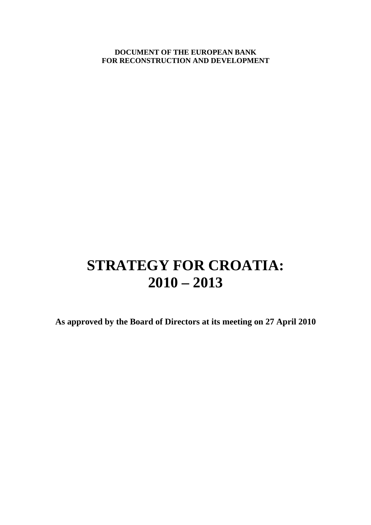**DOCUMENT OF THE EUROPEAN BANK FOR RECONSTRUCTION AND DEVELOPMENT** 

# **STRATEGY FOR CROATIA: 2010 – 2013**

**As approved by the Board of Directors at its meeting on 27 April 2010**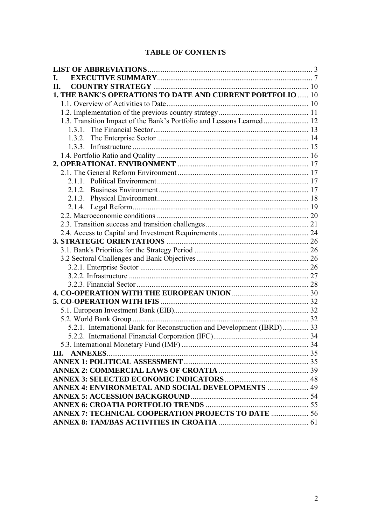# **TABLE OF CONTENTS**

| L.                                                                     |  |
|------------------------------------------------------------------------|--|
| II.                                                                    |  |
| 1. THE BANK'S OPERATIONS TO DATE AND CURRENT PORTFOLIO  10             |  |
|                                                                        |  |
|                                                                        |  |
| 1.3. Transition Impact of the Bank's Portfolio and Lessons Learned 12  |  |
|                                                                        |  |
|                                                                        |  |
|                                                                        |  |
|                                                                        |  |
|                                                                        |  |
|                                                                        |  |
|                                                                        |  |
|                                                                        |  |
|                                                                        |  |
|                                                                        |  |
|                                                                        |  |
|                                                                        |  |
|                                                                        |  |
|                                                                        |  |
|                                                                        |  |
|                                                                        |  |
|                                                                        |  |
|                                                                        |  |
|                                                                        |  |
|                                                                        |  |
|                                                                        |  |
|                                                                        |  |
|                                                                        |  |
| 5.2.1. International Bank for Reconstruction and Development (IBRD) 33 |  |
|                                                                        |  |
|                                                                        |  |
|                                                                        |  |
|                                                                        |  |
|                                                                        |  |
|                                                                        |  |
|                                                                        |  |
|                                                                        |  |
|                                                                        |  |
| <b>ANNEX 7: TECHNICAL COOPERATION PROJECTS TO DATE  56</b>             |  |
|                                                                        |  |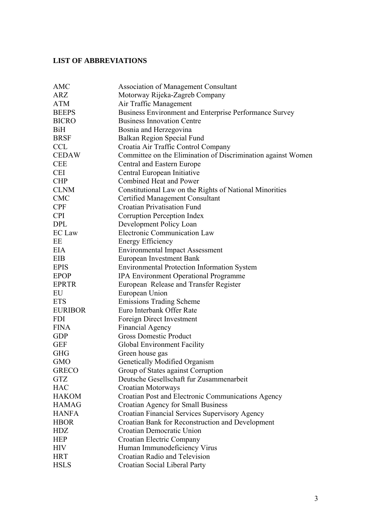# **LIST OF ABBREVIATIONS**

| AMC            | <b>Association of Management Consultant</b>                  |
|----------------|--------------------------------------------------------------|
| ARZ            | Motorway Rijeka-Zagreb Company                               |
| <b>ATM</b>     | Air Traffic Management                                       |
| <b>BEEPS</b>   | Business Environment and Enterprise Performance Survey       |
| <b>BICRO</b>   | <b>Business Innovation Centre</b>                            |
| <b>BiH</b>     | Bosnia and Herzegovina                                       |
| <b>BRSF</b>    | Balkan Region Special Fund                                   |
| <b>CCL</b>     | Croatia Air Traffic Control Company                          |
| <b>CEDAW</b>   | Committee on the Elimination of Discrimination against Women |
| <b>CEE</b>     | Central and Eastern Europe                                   |
| <b>CEI</b>     | Central European Initiative                                  |
| <b>CHP</b>     | Combined Heat and Power                                      |
| <b>CLNM</b>    | Constitutional Law on the Rights of National Minorities      |
| <b>CMC</b>     | <b>Certified Management Consultant</b>                       |
| <b>CPF</b>     | <b>Croatian Privatisation Fund</b>                           |
| <b>CPI</b>     | Corruption Perception Index                                  |
| <b>DPL</b>     | Development Policy Loan                                      |
| <b>EC</b> Law  | <b>Electronic Communication Law</b>                          |
| EE             | <b>Energy Efficiency</b>                                     |
| EIA            | <b>Environmental Impact Assessment</b>                       |
| EIB            | <b>European Investment Bank</b>                              |
| <b>EPIS</b>    | <b>Environmental Protection Information System</b>           |
| <b>EPOP</b>    | <b>IPA Environment Operational Programme</b>                 |
| <b>EPRTR</b>   | European Release and Transfer Register                       |
| EU             | European Union                                               |
| <b>ETS</b>     | <b>Emissions Trading Scheme</b>                              |
| <b>EURIBOR</b> | Euro Interbank Offer Rate                                    |
| <b>FDI</b>     | Foreign Direct Investment                                    |
| <b>FINA</b>    | <b>Financial Agency</b>                                      |
| <b>GDP</b>     | <b>Gross Domestic Product</b>                                |
| <b>GEF</b>     | Global Environment Facility                                  |
| <b>GHG</b>     | Green house gas                                              |
| <b>GMO</b>     | Genetically Modified Organism                                |
| <b>GRECO</b>   | Group of States against Corruption                           |
| <b>GTZ</b>     | Deutsche Gesellschaft fur Zusammenarbeit                     |
| <b>HAC</b>     | Croatian Motorways                                           |
| <b>HAKOM</b>   | Croatian Post and Electronic Communications Agency           |
| <b>HAMAG</b>   | <b>Croatian Agency for Small Business</b>                    |
| <b>HANFA</b>   | Croatian Financial Services Supervisory Agency               |
| <b>HBOR</b>    | Croatian Bank for Reconstruction and Development             |
| HDZ            | Croatian Democratic Union                                    |
| <b>HEP</b>     | Croatian Electric Company                                    |
| <b>HIV</b>     | Human Immunodeficiency Virus                                 |
| <b>HRT</b>     | Croatian Radio and Television                                |
| <b>HSLS</b>    | Croatian Social Liberal Party                                |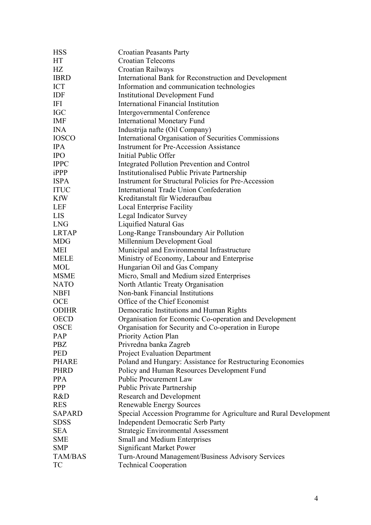| <b>HSS</b>     | <b>Croatian Peasants Party</b>                                    |
|----------------|-------------------------------------------------------------------|
| HT             | <b>Croatian Telecoms</b>                                          |
| HZ             | Croatian Railways                                                 |
| <b>IBRD</b>    | International Bank for Reconstruction and Development             |
| <b>ICT</b>     | Information and communication technologies                        |
| IDF            | <b>Institutional Development Fund</b>                             |
| IFI            | <b>International Financial Institution</b>                        |
| <b>IGC</b>     | <b>Intergovernmental Conference</b>                               |
| <b>IMF</b>     | <b>International Monetary Fund</b>                                |
| <b>INA</b>     | Industrija nafte (Oil Company)                                    |
| <b>IOSCO</b>   | International Organisation of Securities Commissions              |
| <b>IPA</b>     | <b>Instrument for Pre-Accession Assistance</b>                    |
| <b>IPO</b>     | Initial Public Offer                                              |
| <b>IPPC</b>    | Integrated Pollution Prevention and Control                       |
| iPPP           | <b>Institutionalised Public Private Partnership</b>               |
| <b>ISPA</b>    | <b>Instrument for Structural Policies for Pre-Accession</b>       |
| <b>ITUC</b>    | International Trade Union Confederation                           |
| <b>KfW</b>     | Kreditanstalt für Wiederaufbau                                    |
| <b>LEF</b>     | <b>Local Enterprise Facility</b>                                  |
| <b>LIS</b>     | Legal Indicator Survey                                            |
| <b>LNG</b>     | Liquified Natural Gas                                             |
| <b>LRTAP</b>   | Long-Range Transboundary Air Pollution                            |
| <b>MDG</b>     | Millennium Development Goal                                       |
| <b>MEI</b>     | Municipal and Environmental Infrastructure                        |
| <b>MELE</b>    | Ministry of Economy, Labour and Enterprise                        |
| <b>MOL</b>     | Hungarian Oil and Gas Company                                     |
| <b>MSME</b>    | Micro, Small and Medium sized Enterprises                         |
| <b>NATO</b>    | North Atlantic Treaty Organisation                                |
| <b>NBFI</b>    | Non-bank Financial Institutions                                   |
| <b>OCE</b>     | Office of the Chief Economist                                     |
| <b>ODIHR</b>   | Democratic Institutions and Human Rights                          |
| <b>OECD</b>    | Organisation for Economic Co-operation and Development            |
| <b>OSCE</b>    | Organisation for Security and Co-operation in Europe              |
| PAP            | Priority Action Plan                                              |
| <b>PBZ</b>     | Privredna banka Zagreb                                            |
| <b>PED</b>     | <b>Project Evaluation Department</b>                              |
| <b>PHARE</b>   | Poland and Hungary: Assistance for Restructuring Economies        |
| <b>PHRD</b>    | Policy and Human Resources Development Fund                       |
| <b>PPA</b>     | <b>Public Procurement Law</b>                                     |
| PPP            | <b>Public Private Partnership</b>                                 |
| R&D            | <b>Research and Development</b>                                   |
| <b>RES</b>     | <b>Renewable Energy Sources</b>                                   |
| <b>SAPARD</b>  | Special Accession Programme for Agriculture and Rural Development |
| <b>SDSS</b>    | <b>Independent Democratic Serb Party</b>                          |
| <b>SEA</b>     | <b>Strategic Environmental Assessment</b>                         |
| <b>SME</b>     | Small and Medium Enterprises                                      |
| <b>SMP</b>     | <b>Significant Market Power</b>                                   |
| <b>TAM/BAS</b> | Turn-Around Management/Business Advisory Services                 |
| <b>TC</b>      | <b>Technical Cooperation</b>                                      |
|                |                                                                   |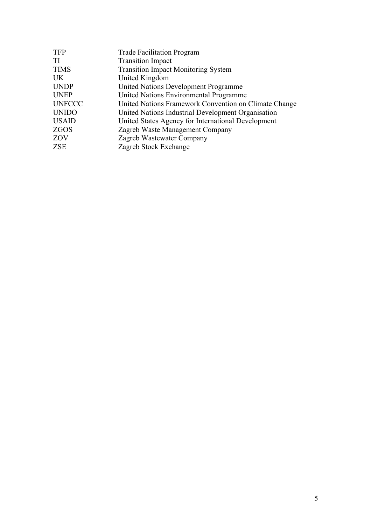| <b>TFP</b>    | <b>Trade Facilitation Program</b>                     |
|---------------|-------------------------------------------------------|
| TI            | <b>Transition Impact</b>                              |
| <b>TIMS</b>   | <b>Transition Impact Monitoring System</b>            |
| UK.           | United Kingdom                                        |
| <b>UNDP</b>   | <b>United Nations Development Programme</b>           |
| <b>UNEP</b>   | United Nations Environmental Programme                |
| <b>UNFCCC</b> | United Nations Framework Convention on Climate Change |
| <b>UNIDO</b>  | United Nations Industrial Development Organisation    |
| <b>USAID</b>  | United States Agency for International Development    |
| ZGOS          | Zagreb Waste Management Company                       |
| ZOV           | Zagreb Wastewater Company                             |
| ZSE           | Zagreb Stock Exchange                                 |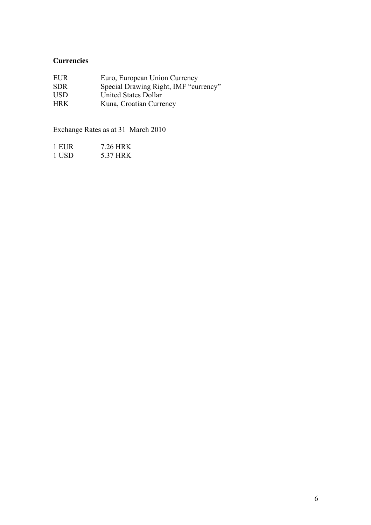# **Currencies**

| <b>EUR</b> | Euro, European Union Currency         |
|------------|---------------------------------------|
| <b>SDR</b> | Special Drawing Right, IMF "currency" |
| <b>USD</b> | United States Dollar                  |
| <b>HRK</b> | Kuna, Croatian Currency               |

Exchange Rates as at 31 March 2010

| 1 EUR | 7.26 HRK |
|-------|----------|
| 1 USD | 5.37 HRK |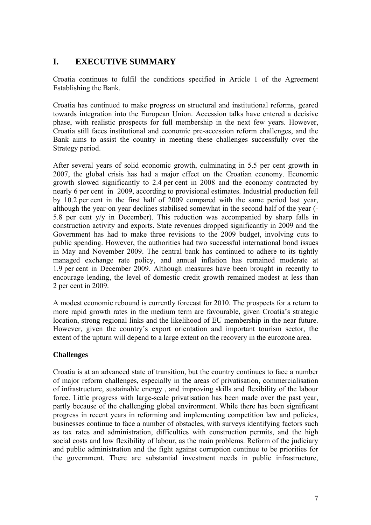# **I. EXECUTIVE SUMMARY**

Croatia continues to fulfil the conditions specified in Article 1 of the Agreement Establishing the Bank.

Croatia has continued to make progress on structural and institutional reforms, geared towards integration into the European Union. Accession talks have entered a decisive phase, with realistic prospects for full membership in the next few years. However, Croatia still faces institutional and economic pre-accession reform challenges, and the Bank aims to assist the country in meeting these challenges successfully over the Strategy period.

After several years of solid economic growth, culminating in 5.5 per cent growth in 2007, the global crisis has had a major effect on the Croatian economy. Economic growth slowed significantly to 2.4 per cent in 2008 and the economy contracted by nearly 6 per cent in 2009, according to provisional estimates. Industrial production fell by 10.2 per cent in the first half of 2009 compared with the same period last year, although the year-on year declines stabilised somewhat in the second half of the year (- 5.8 per cent y/y in December). This reduction was accompanied by sharp falls in construction activity and exports. State revenues dropped significantly in 2009 and the Government has had to make three revisions to the 2009 budget, involving cuts to public spending. However, the authorities had two successful international bond issues in May and November 2009. The central bank has continued to adhere to its tightly managed exchange rate policy, and annual inflation has remained moderate at 1.9 per cent in December 2009. Although measures have been brought in recently to encourage lending, the level of domestic credit growth remained modest at less than 2 per cent in 2009.

A modest economic rebound is currently forecast for 2010. The prospects for a return to more rapid growth rates in the medium term are favourable, given Croatia's strategic location, strong regional links and the likelihood of EU membership in the near future. However, given the country's export orientation and important tourism sector, the extent of the upturn will depend to a large extent on the recovery in the eurozone area.

# **Challenges**

Croatia is at an advanced state of transition, but the country continues to face a number of major reform challenges, especially in the areas of privatisation, commercialisation of infrastructure, sustainable energy , and improving skills and flexibility of the labour force. Little progress with large-scale privatisation has been made over the past year, partly because of the challenging global environment. While there has been significant progress in recent years in reforming and implementing competition law and policies, businesses continue to face a number of obstacles, with surveys identifying factors such as tax rates and administration, difficulties with construction permits, and the high social costs and low flexibility of labour, as the main problems. Reform of the judiciary and public administration and the fight against corruption continue to be priorities for the government. There are substantial investment needs in public infrastructure,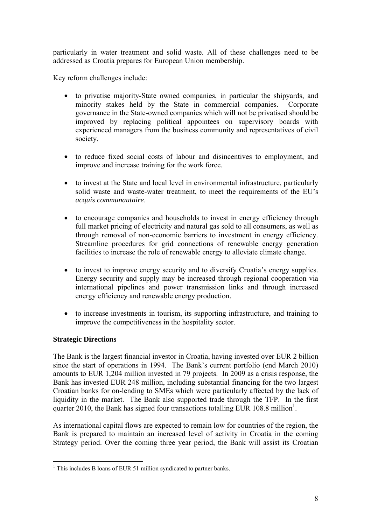particularly in water treatment and solid waste. All of these challenges need to be addressed as Croatia prepares for European Union membership.

Key reform challenges include:

- to privatise majority-State owned companies, in particular the shipyards, and minority stakes held by the State in commercial companies. Corporate governance in the State-owned companies which will not be privatised should be improved by replacing political appointees on supervisory boards with experienced managers from the business community and representatives of civil society.
- to reduce fixed social costs of labour and disincentives to employment, and improve and increase training for the work force.
- to invest at the State and local level in environmental infrastructure, particularly solid waste and waste-water treatment, to meet the requirements of the EU's *acquis communautaire*.
- to encourage companies and households to invest in energy efficiency through full market pricing of electricity and natural gas sold to all consumers, as well as through removal of non-economic barriers to investment in energy efficiency. Streamline procedures for grid connections of renewable energy generation facilities to increase the role of renewable energy to alleviate climate change.
- to invest to improve energy security and to diversify Croatia's energy supplies. Energy security and supply may be increased through regional cooperation via international pipelines and power transmission links and through increased energy efficiency and renewable energy production.
- to increase investments in tourism, its supporting infrastructure, and training to improve the competitiveness in the hospitality sector.

# **Strategic Directions**

The Bank is the largest financial investor in Croatia, having invested over EUR 2 billion since the start of operations in 1994. The Bank's current portfolio (end March 2010) amounts to EUR 1,204 million invested in 79 projects. In 2009 as a crisis response, the Bank has invested EUR 248 million, including substantial financing for the two largest Croatian banks for on-lending to SMEs which were particularly affected by the lack of liquidity in the market. The Bank also supported trade through the TFP. In the first quarter 2010, the Bank has signed four transactions totalling EUR 108.8 million<sup>1</sup>.

As international capital flows are expected to remain low for countries of the region, the Bank is prepared to maintain an increased level of activity in Croatia in the coming Strategy period. Over the coming three year period, the Bank will assist its Croatian

<sup>&</sup>lt;sup>1</sup> This includes B loans of EUR 51 million syndicated to partner banks.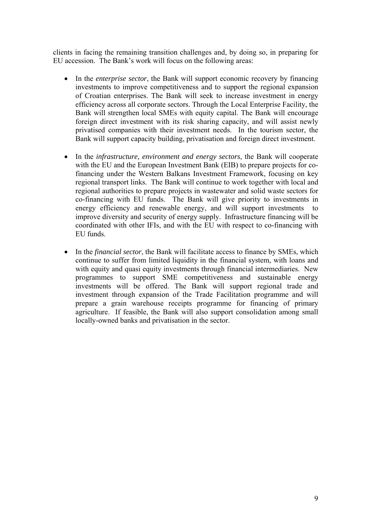clients in facing the remaining transition challenges and, by doing so, in preparing for EU accession. The Bank's work will focus on the following areas:

- In the *enterprise sector*, the Bank will support economic recovery by financing investments to improve competitiveness and to support the regional expansion of Croatian enterprises. The Bank will seek to increase investment in energy efficiency across all corporate sectors. Through the Local Enterprise Facility, the Bank will strengthen local SMEs with equity capital. The Bank will encourage foreign direct investment with its risk sharing capacity, and will assist newly privatised companies with their investment needs. In the tourism sector, the Bank will support capacity building, privatisation and foreign direct investment.
- In the *infrastructure, environment and energy sectors*, the Bank will cooperate with the EU and the European Investment Bank (EIB) to prepare projects for cofinancing under the Western Balkans Investment Framework, focusing on key regional transport links. The Bank will continue to work together with local and regional authorities to prepare projects in wastewater and solid waste sectors for co-financing with EU funds. The Bank will give priority to investments in energy efficiency and renewable energy, and will support investments to improve diversity and security of energy supply. Infrastructure financing will be coordinated with other IFIs, and with the EU with respect to co-financing with EU funds.
- In the *financial sector*, the Bank will facilitate access to finance by SMEs, which continue to suffer from limited liquidity in the financial system, with loans and with equity and quasi equity investments through financial intermediaries. New programmes to support SME competitiveness and sustainable energy investments will be offered. The Bank will support regional trade and investment through expansion of the Trade Facilitation programme and will prepare a grain warehouse receipts programme for financing of primary agriculture. If feasible, the Bank will also support consolidation among small locally-owned banks and privatisation in the sector.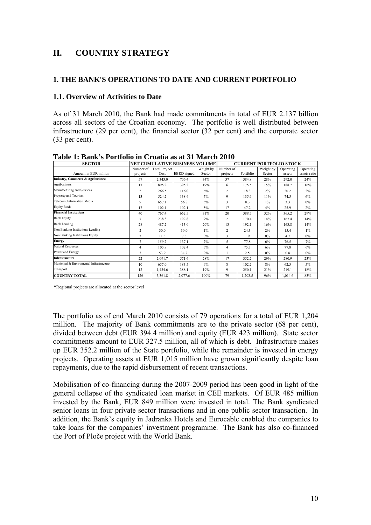# **II. COUNTRY STRATEGY**

### **1. THE BANK'S OPERATIONS TO DATE AND CURRENT PORTFOLIO**

### **1.1. Overview of Activities to Date**

As of 31 March 2010, the Bank had made commitments in total of EUR 2.137 billion across all sectors of the Croatian economy. The portfolio is well distributed between infrastructure (29 per cent), the financial sector (32 per cent) and the corporate sector (33 per cent).

| <b>SECTOR</b>                                |                       | <b>NET CUMULATIVE BUSINESS VOLUME</b> |             |                     |                       | <b>CURRENT PORTFOLIO STOCK</b> |                     |                     |                           |  |
|----------------------------------------------|-----------------------|---------------------------------------|-------------|---------------------|-----------------------|--------------------------------|---------------------|---------------------|---------------------------|--|
| Amount in EUR million                        | Number of<br>projects | <b>Total Project</b><br>Cost          | EBRD signed | Weight by<br>Sector | Number of<br>projects | Portfolio                      | Weight by<br>Sector | Operating<br>assets | Operating<br>assets ratio |  |
| <b>Industry, Commerce &amp; Agribusiness</b> | 57                    | 2,343.0                               | 706.4       | 34%                 | 37                    | 384.8                          | 28%                 | 292.0               | 24%                       |  |
| Agribusiness                                 | 13                    | 895.2                                 | 395.2       | 19%                 | 6                     | 175.5                          | 15%                 | 188.7               | 16%                       |  |
| Manufacturing and Services                   | 5                     | 266.5                                 | 116.0       | 6%                  | 2                     | 18.3                           | 2%                  | 20.2                | 2%                        |  |
| Property and Tourism                         | 13                    | 524.2                                 | 138.4       | 7%                  | 9                     | 135.6                          | 11%                 | 74.5                | 6%                        |  |
| Telecom, Informatics, Media                  | 9                     | 6571                                  | 56.8        | 3%                  | 3                     | 83                             | $1\%$               | 33                  | $0\%$                     |  |
| Equity funds                                 | 17                    | 102.1                                 | 102.1       | 5%                  | 17                    | 47.2                           | 4%                  | 25.9                | 2%                        |  |
| <b>Financial Institutions</b>                | 40                    | 767.4                                 | 662.5       | 31%                 | 20                    | 388.7                          | 32%                 | 365.2               | 29%                       |  |
| <b>Bank Equity</b>                           | 7                     | 238.8                                 | 192.8       | 9%                  | 2                     | 170.4                          | 14%                 | 167.4               | 14%                       |  |
| <b>Bank Lending</b>                          | 28                    | 487.2                                 | 413.0       | 20%                 | 13                    | 1921                           | 16%                 | 163.8               | 14%                       |  |
| Non Banking Institutions Lending             | $\overline{c}$        | 30.0                                  | 30.0        | $1\%$               | 2                     | 24.3                           | 2%                  | 15.4                | $1\%$                     |  |
| Non Banking Institutions Equity              | 3                     | 11.3                                  | 73          | $0\%$               | 3                     | 1.9                            | $0\%$               | 4.7                 | $0\%$                     |  |
| <b>Energy</b>                                | $\tau$                | 159.7                                 | 137.1       | 7%                  | 5                     | 77.8                           | 6%                  | 76.5                | 7%                        |  |
| Natural Resources                            | 4                     | 105.8                                 | 102.4       | 5%                  | $\overline{4}$        | 75.3                           | 6%                  | 77.8                | 6%                        |  |
| Power and Energy                             | 3                     | 53.9                                  | 34.7        | 2%                  |                       | 2.5                            | $0\%$               | 0.8                 | $0\%$                     |  |
| <b>Infrastructure</b>                        | 22                    | 2,091.7                               | 571.6       | 28%                 | 17                    | 352.2                          | 29%                 | 280.9               | 23%                       |  |
| Municipal & Enviromental Infrastructure      | 10                    | 657.0                                 | 183.5       | 9%                  | 8                     | 102.2                          | 8%                  | 62.5                | $5\%$                     |  |
| Transport                                    | 12                    | 1,434.6                               | 388.1       | 19%                 | 9                     | 250.1                          | 21%                 | 219.1               | 18%                       |  |
| <b>COUNTRY TOTAL</b>                         | 126                   | 5,361.8                               | 2,077.6     | 100%                | 79                    | 1,203.5                        | 96%                 | 1.014.6             | 83%                       |  |

**Table 1: Bank's Portfolio in Croatia as at 31 March 2010** 

\*Regional projects are allocated at the sector level

The portfolio as of end March 2010 consists of 79 operations for a total of EUR 1,204 million. The majority of Bank commitments are to the private sector (68 per cent), divided between debt (EUR 394.4 million) and equity (EUR 423 million). State sector commitments amount to EUR 327.5 million, all of which is debt. Infrastructure makes up EUR 352.2 million of the State portfolio, while the remainder is invested in energy projects. Operating assets at EUR 1,015 million have grown significantly despite loan repayments, due to the rapid disbursement of recent transactions.

Mobilisation of co-financing during the 2007-2009 period has been good in light of the general collapse of the syndicated loan market in CEE markets. Of EUR 485 million invested by the Bank, EUR 849 million were invested in total. The Bank syndicated senior loans in four private sector transactions and in one public sector transaction. In addition, the Bank's equity in Jadranka Hotels and Eurocable enabled the companies to take loans for the companies' investment programme. The Bank has also co-financed the Port of Ploče project with the World Bank.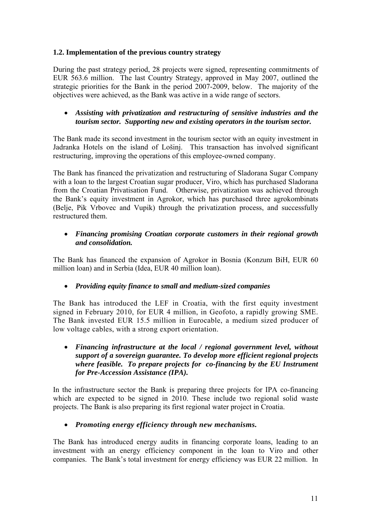# **1.2. Implementation of the previous country strategy**

During the past strategy period, 28 projects were signed, representing commitments of EUR 563.6 million. The last Country Strategy, approved in May 2007, outlined the strategic priorities for the Bank in the period 2007-2009, below. The majority of the objectives were achieved, as the Bank was active in a wide range of sectors.

# • *Assisting with privatization and restructuring of sensitive industries and the tourism sector. Supporting new and existing operators in the tourism sector.*

The Bank made its second investment in the tourism sector with an equity investment in Jadranka Hotels on the island of Lošinj. This transaction has involved significant restructuring, improving the operations of this employee-owned company.

The Bank has financed the privatization and restructuring of Sladorana Sugar Company with a loan to the largest Croatian sugar producer, Viro, which has purchased Sladorana from the Croatian Privatisation Fund. Otherwise, privatization was achieved through the Bank's equity investment in Agrokor, which has purchased three agrokombinats (Belje, Pik Vrbovec and Vupik) through the privatization process, and successfully restructured them.

# • *Financing promising Croatian corporate customers in their regional growth and consolidation.*

The Bank has financed the expansion of Agrokor in Bosnia (Konzum BiH, EUR 60 million loan) and in Serbia (Idea, EUR 40 million loan).

# • *Providing equity finance to small and medium-sized companies*

The Bank has introduced the LEF in Croatia, with the first equity investment signed in February 2010, for EUR 4 million, in Geofoto, a rapidly growing SME. The Bank invested EUR 15.5 million in Eurocable, a medium sized producer of low voltage cables, with a strong export orientation.

# • *Financing infrastructure at the local / regional government level, without support of a sovereign guarantee. To develop more efficient regional projects where feasible. To prepare projects for co-financing by the EU Instrument for Pre-Accession Assistance (IPA).*

In the infrastructure sector the Bank is preparing three projects for IPA co-financing which are expected to be signed in 2010. These include two regional solid waste projects. The Bank is also preparing its first regional water project in Croatia.

# • *Promoting energy efficiency through new mechanisms.*

The Bank has introduced energy audits in financing corporate loans, leading to an investment with an energy efficiency component in the loan to Viro and other companies. The Bank's total investment for energy efficiency was EUR 22 million. In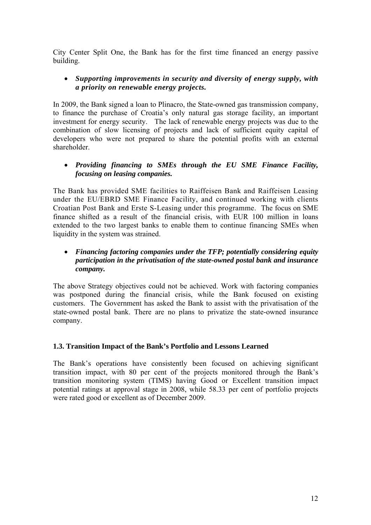City Center Split One, the Bank has for the first time financed an energy passive building.

# • *Supporting improvements in security and diversity of energy supply, with a priority on renewable energy projects.*

In 2009, the Bank signed a loan to Plinacro, the State-owned gas transmission company, to finance the purchase of Croatia's only natural gas storage facility, an important investment for energy security. The lack of renewable energy projects was due to the combination of slow licensing of projects and lack of sufficient equity capital of developers who were not prepared to share the potential profits with an external shareholder.

# • *Providing financing to SMEs through the EU SME Finance Facility, focusing on leasing companies.*

The Bank has provided SME facilities to Raiffeisen Bank and Raiffeisen Leasing under the EU/EBRD SME Finance Facility, and continued working with clients Croatian Post Bank and Erste S-Leasing under this programme. The focus on SME finance shifted as a result of the financial crisis, with EUR 100 million in loans extended to the two largest banks to enable them to continue financing SMEs when liquidity in the system was strained.

# • *Financing factoring companies under the TFP; potentially considering equity participation in the privatisation of the state-owned postal bank and insurance company.*

The above Strategy objectives could not be achieved. Work with factoring companies was postponed during the financial crisis, while the Bank focused on existing customers. The Government has asked the Bank to assist with the privatisation of the state-owned postal bank. There are no plans to privatize the state-owned insurance company.

# **1.3. Transition Impact of the Bank's Portfolio and Lessons Learned**

The Bank's operations have consistently been focused on achieving significant transition impact, with 80 per cent of the projects monitored through the Bank's transition monitoring system (TIMS) having Good or Excellent transition impact potential ratings at approval stage in 2008, while 58.33 per cent of portfolio projects were rated good or excellent as of December 2009.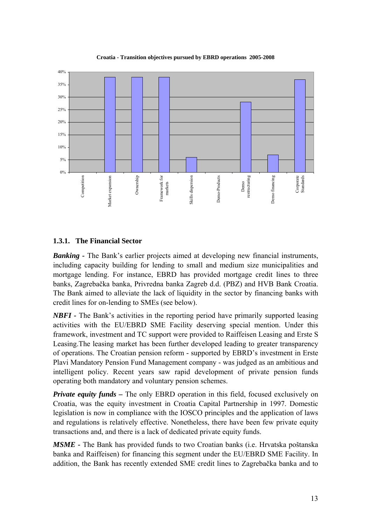

**Croatia - Transition objectives pursued by EBRD operations 2005-2008**

# **1.3.1. The Financial Sector**

*Banking* - The Bank's earlier projects aimed at developing new financial instruments, including capacity building for lending to small and medium size municipalities and mortgage lending. For instance, EBRD has provided mortgage credit lines to three banks, Zagrebačka banka, Privredna banka Zagreb d.d. (PBZ) and HVB Bank Croatia. The Bank aimed to alleviate the lack of liquidity in the sector by financing banks with credit lines for on-lending to SMEs (see below).

*NBFI* - The Bank's activities in the reporting period have primarily supported leasing activities with the EU/EBRD SME Facility deserving special mention. Under this framework, investment and TC support were provided to Raiffeisen Leasing and Erste S Leasing.The leasing market has been further developed leading to greater transparency of operations. The Croatian pension reform - supported by EBRD's investment in Erste Plavi Mandatory Pension Fund Management company - was judged as an ambitious and intelligent policy. Recent years saw rapid development of private pension funds operating both mandatory and voluntary pension schemes.

*Private equity funds – The only EBRD operation in this field, focused exclusively on* Croatia, was the equity investment in Croatia Capital Partnership in 1997. Domestic legislation is now in compliance with the IOSCO principles and the application of laws and regulations is relatively effective. Nonetheless, there have been few private equity transactions and, and there is a lack of dedicated private equity funds.

*MSME -* The Bank has provided funds to two Croatian banks (i.e. Hrvatska poštanska banka and Raiffeisen) for financing this segment under the EU/EBRD SME Facility. In addition, the Bank has recently extended SME credit lines to Zagrebačka banka and to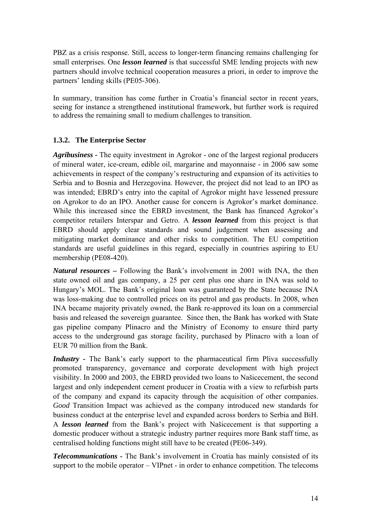PBZ as a crisis response. Still, access to longer-term financing remains challenging for small enterprises. One *lesson learned* is that successful SME lending projects with new partners should involve technical cooperation measures a priori, in order to improve the partners' lending skills (PE05-306).

In summary, transition has come further in Croatia's financial sector in recent years, seeing for instance a strengthened institutional framework, but further work is required to address the remaining small to medium challenges to transition.

# **1.3.2. The Enterprise Sector**

*Agribusiness -* The equity investment in Agrokor - one of the largest regional producers of mineral water, ice-cream, edible oil, margarine and mayonnaise - in 2006 saw some achievements in respect of the company's restructuring and expansion of its activities to Serbia and to Bosnia and Herzegovina. However, the project did not lead to an IPO as was intended; EBRD's entry into the capital of Agrokor might have lessened pressure on Agrokor to do an IPO. Another cause for concern is Agrokor's market dominance. While this increased since the EBRD investment, the Bank has financed Agrokor's competitor retailers Interspar and Getro. A *lesson learned* from this project is that EBRD should apply clear standards and sound judgement when assessing and mitigating market dominance and other risks to competition. The EU competition standards are useful guidelines in this regard, especially in countries aspiring to EU membership (PE08-420).

*Natural resources –* Following the Bank's involvement in 2001 with INA, the then state owned oil and gas company, a 25 per cent plus one share in INA was sold to Hungary's MOL. The Bank's original loan was guaranteed by the State because INA was loss-making due to controlled prices on its petrol and gas products. In 2008, when INA became majority privately owned, the Bank re-approved its loan on a commercial basis and released the sovereign guarantee. Since then, the Bank has worked with State gas pipeline company Plinacro and the Ministry of Economy to ensure third party access to the underground gas storage facility, purchased by Plinacro with a loan of EUR 70 million from the Bank.

*Industry* - The Bank's early support to the pharmaceutical firm Pliva successfully promoted transparency, governance and corporate development with high project visibility. In 2000 and 2003, the EBRD provided two loans to Našicecement, the second largest and only independent cement producer in Croatia with a view to refurbish parts of the company and expand its capacity through the acquisition of other companies. *Good* Transition Impact was achieved as the company introduced new standards for business conduct at the enterprise level and expanded across borders to Serbia and BiH. A *lesson learned* from the Bank's project with Našicecement is that supporting a domestic producer without a strategic industry partner requires more Bank staff time, as centralised holding functions might still have to be created (PE06-349).

*Telecommunications -* The Bank's involvement in Croatia has mainly consisted of its support to the mobile operator – VIPnet - in order to enhance competition. The telecoms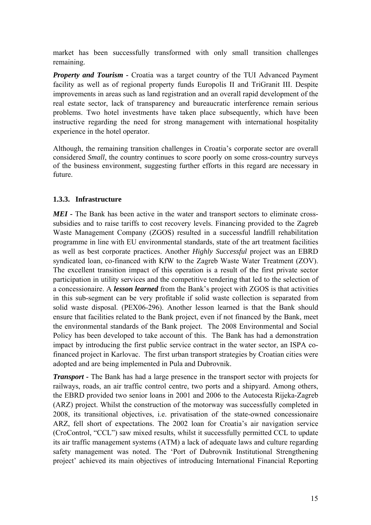market has been successfully transformed with only small transition challenges remaining.

*Property and Tourism - Croatia was a target country of the TUI Advanced Payment* facility as well as of regional property funds Europolis II and TriGranit III. Despite improvements in areas such as land registration and an overall rapid development of the real estate sector, lack of transparency and bureaucratic interference remain serious problems. Two hotel investments have taken place subsequently, which have been instructive regarding the need for strong management with international hospitality experience in the hotel operator.

Although, the remaining transition challenges in Croatia's corporate sector are overall considered *Small*, the country continues to score poorly on some cross-country surveys of the business environment, suggesting further efforts in this regard are necessary in future.

# **1.3.3. Infrastructure**

MEI - The Bank has been active in the water and transport sectors to eliminate crosssubsidies and to raise tariffs to cost recovery levels. Financing provided to the Zagreb Waste Management Company (ZGOS) resulted in a successful landfill rehabilitation programme in line with EU environmental standards, state of the art treatment facilities as well as best corporate practices. Another *Highly Successful* project was an EBRD syndicated loan, co-financed with KfW to the Zagreb Waste Water Treatment (ZOV). The excellent transition impact of this operation is a result of the first private sector participation in utility services and the competitive tendering that led to the selection of a concessionaire. A *lesson learned* from the Bank's project with ZGOS is that activities in this sub-segment can be very profitable if solid waste collection is separated from solid waste disposal. (PEX06-296). Another lesson learned is that the Bank should ensure that facilities related to the Bank project, even if not financed by the Bank, meet the environmental standards of the Bank project. The 2008 Environmental and Social Policy has been developed to take account of this. The Bank has had a demonstration impact by introducing the first public service contract in the water sector, an ISPA cofinanced project in Karlovac. The first urban transport strategies by Croatian cities were adopted and are being implemented in Pula and Dubrovnik.

*Transport* - The Bank has had a large presence in the transport sector with projects for railways, roads, an air traffic control centre, two ports and a shipyard. Among others, the EBRD provided two senior loans in 2001 and 2006 to the Autocesta Rijeka-Zagreb (ARZ) project. Whilst the construction of the motorway was successfully completed in 2008, its transitional objectives, i.e. privatisation of the state-owned concessionaire ARZ, fell short of expectations. The 2002 loan for Croatia's air navigation service (CroControl, "CCL") saw mixed results, whilst it successfully permitted CCL to update its air traffic management systems (ATM) a lack of adequate laws and culture regarding safety management was noted. The 'Port of Dubrovnik Institutional Strengthening project' achieved its main objectives of introducing International Financial Reporting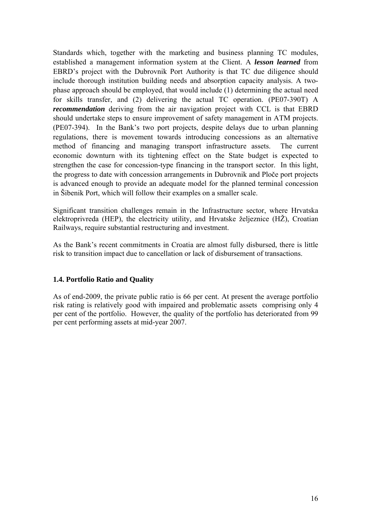Standards which, together with the marketing and business planning TC modules, established a management information system at the Client. A *lesson learned* from EBRD's project with the Dubrovnik Port Authority is that TC due diligence should include thorough institution building needs and absorption capacity analysis. A twophase approach should be employed, that would include (1) determining the actual need for skills transfer, and (2) delivering the actual TC operation. (PE07-390T) A *recommendation* deriving from the air navigation project with CCL is that EBRD should undertake steps to ensure improvement of safety management in ATM projects. (PE07-394). In the Bank's two port projects, despite delays due to urban planning regulations, there is movement towards introducing concessions as an alternative method of financing and managing transport infrastructure assets. The current economic downturn with its tightening effect on the State budget is expected to strengthen the case for concession-type financing in the transport sector. In this light, the progress to date with concession arrangements in Dubrovnik and Ploče port projects is advanced enough to provide an adequate model for the planned terminal concession in Šibenik Port, which will follow their examples on a smaller scale.

Significant transition challenges remain in the Infrastructure sector, where Hrvatska elektroprivreda (HEP), the electricity utility, and Hrvatske željeznice (HŽ), Croatian Railways, require substantial restructuring and investment.

As the Bank's recent commitments in Croatia are almost fully disbursed, there is little risk to transition impact due to cancellation or lack of disbursement of transactions.

# **1.4. Portfolio Ratio and Quality**

As of end-2009, the private public ratio is 66 per cent. At present the average portfolio risk rating is relatively good with impaired and problematic assets comprising only 4 per cent of the portfolio. However, the quality of the portfolio has deteriorated from 99 per cent performing assets at mid-year 2007.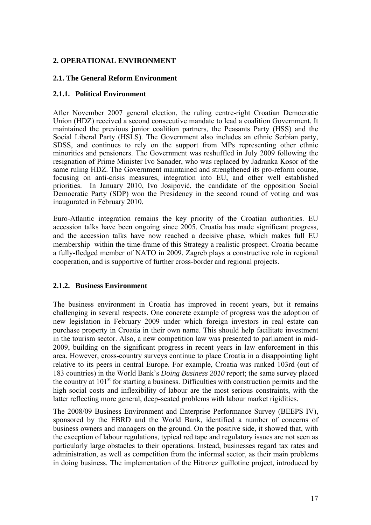# **2. OPERATIONAL ENVIRONMENT**

### **2.1. The General Reform Environment**

### **2.1.1. Political Environment**

After November 2007 general election, the ruling centre-right Croatian Democratic Union (HDZ) received a second consecutive mandate to lead a coalition Government. It maintained the previous junior coalition partners, the Peasants Party (HSS) and the Social Liberal Party (HSLS). The Government also includes an ethnic Serbian party, SDSS, and continues to rely on the support from MPs representing other ethnic minorities and pensioners. The Government was reshuffled in July 2009 following the resignation of Prime Minister Ivo Sanader, who was replaced by Jadranka Kosor of the same ruling HDZ. The Government maintained and strengthened its pro-reform course, focusing on anti-crisis measures, integration into EU, and other well established priorities. In January 2010, Ivo Josipović, the candidate of the opposition Social Democratic Party (SDP) won the Presidency in the second round of voting and was inaugurated in February 2010.

Euro-Atlantic integration remains the key priority of the Croatian authorities. EU accession talks have been ongoing since 2005. Croatia has made significant progress, and the accession talks have now reached a decisive phase, which makes full EU membership within the time-frame of this Strategy a realistic prospect. Croatia became a fully-fledged member of NATO in 2009. Zagreb plays a constructive role in regional cooperation, and is supportive of further cross-border and regional projects.

# **2.1.2. Business Environment**

The business environment in Croatia has improved in recent years, but it remains challenging in several respects. One concrete example of progress was the adoption of new legislation in February 2009 under which foreign investors in real estate can purchase property in Croatia in their own name. This should help facilitate investment in the tourism sector. Also, a new competition law was presented to parliament in mid-2009, building on the significant progress in recent years in law enforcement in this area. However, cross-country surveys continue to place Croatia in a disappointing light relative to its peers in central Europe. For example, Croatia was ranked 103rd (out of 183 countries) in the World Bank's *Doing Business 2010* report; the same survey placed the country at  $101<sup>st</sup>$  for starting a business. Difficulties with construction permits and the high social costs and inflexibility of labour are the most serious constraints, with the latter reflecting more general, deep-seated problems with labour market rigidities.

The 2008/09 Business Environment and Enterprise Performance Survey (BEEPS IV), sponsored by the EBRD and the World Bank, identified a number of concerns of business owners and managers on the ground. On the positive side, it showed that, with the exception of labour regulations, typical red tape and regulatory issues are not seen as particularly large obstacles to their operations. Instead, businesses regard tax rates and administration, as well as competition from the informal sector, as their main problems in doing business. The implementation of the Hitrorez guillotine project, introduced by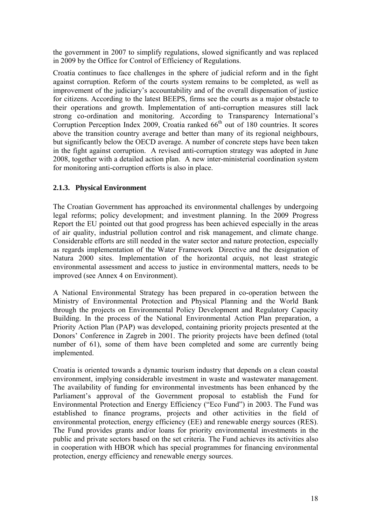the government in 2007 to simplify regulations, slowed significantly and was replaced in 2009 by the Office for Control of Efficiency of Regulations.

Croatia continues to face challenges in the sphere of judicial reform and in the fight against corruption. Reform of the courts system remains to be completed, as well as improvement of the judiciary's accountability and of the overall dispensation of justice for citizens. According to the latest BEEPS, firms see the courts as a major obstacle to their operations and growth. Implementation of anti-corruption measures still lack strong co-ordination and monitoring. According to Transparency International's Corruption Perception Index 2009, Croatia ranked 66<sup>th</sup> out of 180 countries. It scores above the transition country average and better than many of its regional neighbours, but significantly below the OECD average. A number of concrete steps have been taken in the fight against corruption. A revised anti-corruption strategy was adopted in June 2008, together with a detailed action plan. A new inter-ministerial coordination system for monitoring anti-corruption efforts is also in place.

# **2.1.3. Physical Environment**

The Croatian Government has approached its environmental challenges by undergoing legal reforms; policy development; and investment planning. In the 2009 Progress Report the EU pointed out that good progress has been achieved especially in the areas of air quality, industrial pollution control and risk management, and climate change. Considerable efforts are still needed in the water sector and nature protection, especially as regards implementation of the Water Framework Directive and the designation of Natura 2000 sites. Implementation of the horizontal *acquis*, not least strategic environmental assessment and access to justice in environmental matters, needs to be improved (see Annex 4 on Environment).

A National Environmental Strategy has been prepared in co-operation between the Ministry of Environmental Protection and Physical Planning and the World Bank through the projects on Environmental Policy Development and Regulatory Capacity Building. In the process of the National Environmental Action Plan preparation, a Priority Action Plan (PAP) was developed, containing priority projects presented at the Donors' Conference in Zagreb in 2001. The priority projects have been defined (total number of 61), some of them have been completed and some are currently being implemented.

Croatia is oriented towards a dynamic tourism industry that depends on a clean coastal environment, implying considerable investment in waste and wastewater management. The availability of funding for environmental investments has been enhanced by the Parliament's approval of the Government proposal to establish the Fund for Environmental Protection and Energy Efficiency ("Eco Fund") in 2003. The Fund was established to finance programs, projects and other activities in the field of environmental protection, energy efficiency (EE) and renewable energy sources (RES). The Fund provides grants and/or loans for priority environmental investments in the public and private sectors based on the set criteria. The Fund achieves its activities also in cooperation with HBOR which has special programmes for financing environmental protection, energy efficiency and renewable energy sources.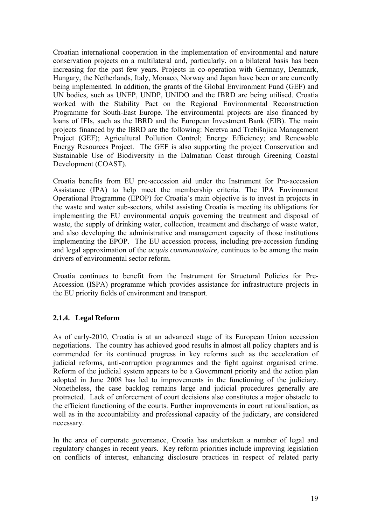Croatian international cooperation in the implementation of environmental and nature conservation projects on a multilateral and, particularly, on a bilateral basis has been increasing for the past few years. Projects in co-operation with Germany, Denmark, Hungary, the Netherlands, Italy, Monaco, Norway and Japan have been or are currently being implemented. In addition, the grants of the Global Environment Fund (GEF) and UN bodies, such as UNEP, UNDP, UNIDO and the IBRD are being utilised. Croatia worked with the Stability Pact on the Regional Environmental Reconstruction Programme for South-East Europe. The environmental projects are also financed by loans of IFIs, such as the IBRD and the European Investment Bank (EIB). The main projects financed by the IBRD are the following: Neretva and Trebišnjica Management Project (GEF); Agricultural Pollution Control; Energy Efficiency; and Renewable Energy Resources Project. The GEF is also supporting the project Conservation and Sustainable Use of Biodiversity in the Dalmatian Coast through Greening Coastal Development (COAST).

Croatia benefits from EU pre-accession aid under the Instrument for Pre-accession Assistance (IPA) to help meet the membership criteria. The IPA Environment Operational Programme (EPOP) for Croatia's main objective is to invest in projects in the waste and water sub-sectors, whilst assisting Croatia is meeting its obligations for implementing the EU environmental *acquis* governing the treatment and disposal of waste, the supply of drinking water, collection, treatment and discharge of waste water, and also developing the administrative and management capacity of those institutions implementing the EPOP. The EU accession process, including pre-accession funding and legal approximation of the *acquis communautaire,* continues to be among the main drivers of environmental sector reform.

Croatia continues to benefit from the Instrument for Structural Policies for Pre-Accession (ISPA) programme which provides assistance for infrastructure projects in the EU priority fields of environment and transport.

# **2.1.4. Legal Reform**

As of early-2010, Croatia is at an advanced stage of its European Union accession negotiations. The country has achieved good results in almost all policy chapters and is commended for its continued progress in key reforms such as the acceleration of judicial reforms, anti-corruption programmes and the fight against organised crime. Reform of the judicial system appears to be a Government priority and the action plan adopted in June 2008 has led to improvements in the functioning of the judiciary. Nonetheless, the case backlog remains large and judicial procedures generally are protracted. Lack of enforcement of court decisions also constitutes a major obstacle to the efficient functioning of the courts. Further improvements in court rationalisation, as well as in the accountability and professional capacity of the judiciary, are considered necessary.

In the area of corporate governance, Croatia has undertaken a number of legal and regulatory changes in recent years. Key reform priorities include improving legislation on conflicts of interest, enhancing disclosure practices in respect of related party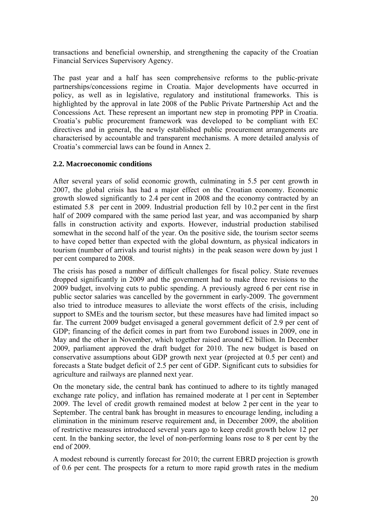transactions and beneficial ownership, and strengthening the capacity of the Croatian Financial Services Supervisory Agency.

The past year and a half has seen comprehensive reforms to the public-private partnerships/concessions regime in Croatia. Major developments have occurred in policy, as well as in legislative, regulatory and institutional frameworks. This is highlighted by the approval in late 2008 of the Public Private Partnership Act and the Concessions Act. These represent an important new step in promoting PPP in Croatia. Croatia's public procurement framework was developed to be compliant with EC directives and in general, the newly established public procurement arrangements are characterised by accountable and transparent mechanisms. A more detailed analysis of Croatia's commercial laws can be found in Annex 2.

# **2.2. Macroeconomic conditions**

After several years of solid economic growth, culminating in 5.5 per cent growth in 2007, the global crisis has had a major effect on the Croatian economy. Economic growth slowed significantly to 2.4 per cent in 2008 and the economy contracted by an estimated 5.8 per cent in 2009. Industrial production fell by 10.2 per cent in the first half of 2009 compared with the same period last year, and was accompanied by sharp falls in construction activity and exports. However, industrial production stabilised somewhat in the second half of the year. On the positive side, the tourism sector seems to have coped better than expected with the global downturn, as physical indicators in tourism (number of arrivals and tourist nights) in the peak season were down by just 1 per cent compared to 2008.

The crisis has posed a number of difficult challenges for fiscal policy. State revenues dropped significantly in 2009 and the government had to make three revisions to the 2009 budget, involving cuts to public spending. A previously agreed 6 per cent rise in public sector salaries was cancelled by the government in early-2009. The government also tried to introduce measures to alleviate the worst effects of the crisis, including support to SMEs and the tourism sector, but these measures have had limited impact so far. The current 2009 budget envisaged a general government deficit of 2.9 per cent of GDP; financing of the deficit comes in part from two Eurobond issues in 2009, one in May and the other in November, which together raised around  $E2$  billion. In December 2009, parliament approved the draft budget for 2010. The new budget is based on conservative assumptions about GDP growth next year (projected at 0.5 per cent) and forecasts a State budget deficit of 2.5 per cent of GDP. Significant cuts to subsidies for agriculture and railways are planned next year.

On the monetary side, the central bank has continued to adhere to its tightly managed exchange rate policy, and inflation has remained moderate at 1 per cent in September 2009. The level of credit growth remained modest at below 2 per cent in the year to September. The central bank has brought in measures to encourage lending, including a elimination in the minimum reserve requirement and, in December 2009, the abolition of restrictive measures introduced several years ago to keep credit growth below 12 per cent. In the banking sector, the level of non-performing loans rose to 8 per cent by the end of 2009.

A modest rebound is currently forecast for 2010; the current EBRD projection is growth of 0.6 per cent. The prospects for a return to more rapid growth rates in the medium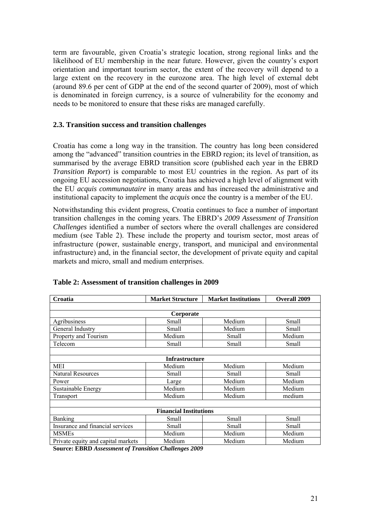term are favourable, given Croatia's strategic location, strong regional links and the likelihood of EU membership in the near future. However, given the country's export orientation and important tourism sector, the extent of the recovery will depend to a large extent on the recovery in the eurozone area. The high level of external debt (around 89.6 per cent of GDP at the end of the second quarter of 2009), most of which is denominated in foreign currency, is a source of vulnerability for the economy and needs to be monitored to ensure that these risks are managed carefully.

### **2.3. Transition success and transition challenges**

Croatia has come a long way in the transition. The country has long been considered among the "advanced" transition countries in the EBRD region; its level of transition, as summarised by the average EBRD transition score (published each year in the EBRD *Transition Report*) is comparable to most EU countries in the region. As part of its ongoing EU accession negotiations, Croatia has achieved a high level of alignment with the EU *acquis communautaire* in many areas and has increased the administrative and institutional capacity to implement the *acquis* once the country is a member of the EU.

Notwithstanding this evident progress, Croatia continues to face a number of important transition challenges in the coming years. The EBRD's *2009 Assessment of Transition Challenges* identified a number of sectors where the overall challenges are considered medium (see Table 2). These include the property and tourism sector, most areas of infrastructure (power, sustainable energy, transport, and municipal and environmental infrastructure) and, in the financial sector, the development of private equity and capital markets and micro, small and medium enterprises.

| Croatia                            | <b>Market Structure</b> | <b>Market Institutions</b> | <b>Overall 2009</b> |  |  |  |  |  |
|------------------------------------|-------------------------|----------------------------|---------------------|--|--|--|--|--|
|                                    |                         |                            |                     |  |  |  |  |  |
| Corporate                          |                         |                            |                     |  |  |  |  |  |
| Agribusiness                       | Small                   | Medium                     | Small               |  |  |  |  |  |
| General Industry                   | Small                   | Medium                     | Small               |  |  |  |  |  |
| Property and Tourism               | Medium                  | Small                      | Medium              |  |  |  |  |  |
| Telecom                            | Small                   | Small                      | Small               |  |  |  |  |  |
|                                    |                         |                            |                     |  |  |  |  |  |
|                                    | <b>Infrastructure</b>   |                            |                     |  |  |  |  |  |
| <b>MEI</b>                         | Medium                  | Medium                     | Medium              |  |  |  |  |  |
| <b>Natural Resources</b>           | Small                   | Small                      | Small               |  |  |  |  |  |
| Power                              | Large                   | Medium                     | Medium              |  |  |  |  |  |
| Sustainable Energy                 | Medium                  | Medium                     | Medium              |  |  |  |  |  |
| Transport                          | Medium                  | Medium                     | medium              |  |  |  |  |  |
|                                    |                         |                            |                     |  |  |  |  |  |
| <b>Financial Institutions</b>      |                         |                            |                     |  |  |  |  |  |
| <b>Banking</b>                     | Small                   | Small                      | Small               |  |  |  |  |  |
| Insurance and financial services   | Small                   | Small                      | Small               |  |  |  |  |  |
| <b>MSMEs</b>                       | Medium                  | Medium                     | Medium              |  |  |  |  |  |
| Private equity and capital markets | Medium                  | Medium                     | Medium              |  |  |  |  |  |

#### **Table 2: Assessment of transition challenges in 2009**

**Source: EBRD** *Assessment of Transition Challenges 2009*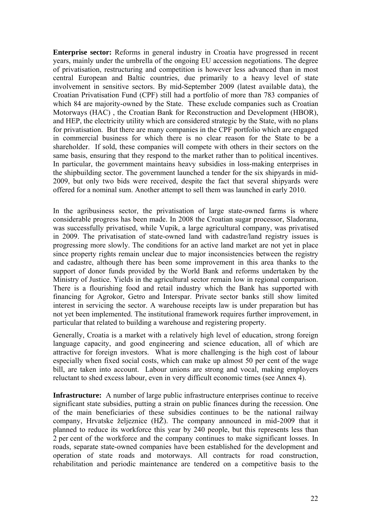**Enterprise sector:** Reforms in general industry in Croatia have progressed in recent years, mainly under the umbrella of the ongoing EU accession negotiations. The degree of privatisation, restructuring and competition is however less advanced than in most central European and Baltic countries, due primarily to a heavy level of state involvement in sensitive sectors. By mid-September 2009 (latest available data), the Croatian Privatisation Fund (CPF) still had a portfolio of more than 783 companies of which 84 are majority-owned by the State. These exclude companies such as Croatian Motorways (HAC) , the Croatian Bank for Reconstruction and Development (HBOR), and HEP, the electricity utility which are considered strategic by the State, with no plans for privatisation. But there are many companies in the CPF portfolio which are engaged in commercial business for which there is no clear reason for the State to be a shareholder. If sold, these companies will compete with others in their sectors on the same basis, ensuring that they respond to the market rather than to political incentives. In particular, the government maintains heavy subsidies in loss-making enterprises in the shipbuilding sector. The government launched a tender for the six shipyards in mid-2009, but only two bids were received, despite the fact that several shipyards were offered for a nominal sum. Another attempt to sell them was launched in early 2010.

In the agribusiness sector, the privatisation of large state-owned farms is where considerable progress has been made. In 2008 the Croatian sugar processor, Sladorana, was successfully privatised, while Vupik, a large agricultural company, was privatised in 2009. The privatisation of state-owned land with cadastre/land registry issues is progressing more slowly. The conditions for an active land market are not yet in place since property rights remain unclear due to major inconsistencies between the registry and cadastre, although there has been some improvement in this area thanks to the support of donor funds provided by the World Bank and reforms undertaken by the Ministry of Justice. Yields in the agricultural sector remain low in regional comparison. There is a flourishing food and retail industry which the Bank has supported with financing for Agrokor, Getro and Interspar. Private sector banks still show limited interest in servicing the sector. A warehouse receipts law is under preparation but has not yet been implemented. The institutional framework requires further improvement, in particular that related to building a warehouse and registering property.

Generally, Croatia is a market with a relatively high level of education, strong foreign language capacity, and good engineering and science education, all of which are attractive for foreign investors. What is more challenging is the high cost of labour especially when fixed social costs, which can make up almost 50 per cent of the wage bill, are taken into account. Labour unions are strong and vocal, making employers reluctant to shed excess labour, even in very difficult economic times (see Annex 4).

**Infrastructure:** A number of large public infrastructure enterprises continue to receive significant state subsidies, putting a strain on public finances during the recession. One of the main beneficiaries of these subsidies continues to be the national railway company, Hrvatske željeznice (HŽ). The company announced in mid-2009 that it planned to reduce its workforce this year by 240 people, but this represents less than 2 per cent of the workforce and the company continues to make significant losses. In roads, separate state-owned companies have been established for the development and operation of state roads and motorways. All contracts for road construction, rehabilitation and periodic maintenance are tendered on a competitive basis to the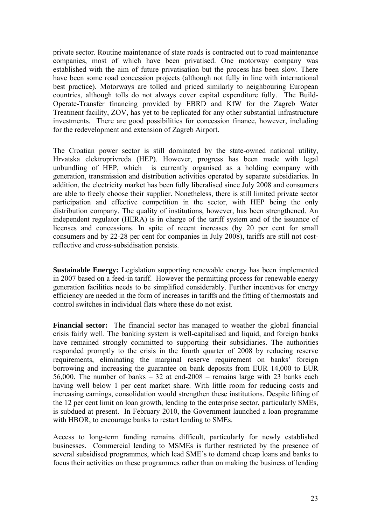private sector. Routine maintenance of state roads is contracted out to road maintenance companies, most of which have been privatised. One motorway company was established with the aim of future privatisation but the process has been slow. There have been some road concession projects (although not fully in line with international best practice). Motorways are tolled and priced similarly to neighbouring European countries, although tolls do not always cover capital expenditure fully. The Build-Operate-Transfer financing provided by EBRD and KfW for the Zagreb Water Treatment facility, ZOV, has yet to be replicated for any other substantial infrastructure investments. There are good possibilities for concession finance, however, including for the redevelopment and extension of Zagreb Airport.

The Croatian power sector is still dominated by the state-owned national utility, Hrvatska elektroprivreda (HEP). However, progress has been made with legal unbundling of HEP, which is currently organised as a holding company with generation, transmission and distribution activities operated by separate subsidiaries. In addition, the electricity market has been fully liberalised since July 2008 and consumers are able to freely choose their supplier. Nonetheless, there is still limited private sector participation and effective competition in the sector, with HEP being the only distribution company. The quality of institutions, however, has been strengthened. An independent regulator (HERA) is in charge of the tariff system and of the issuance of licenses and concessions. In spite of recent increases (by 20 per cent for small consumers and by 22-28 per cent for companies in July 2008), tariffs are still not costreflective and cross-subsidisation persists.

**Sustainable Energy:** Legislation supporting renewable energy has been implemented in 2007 based on a feed-in tariff. However the permitting process for renewable energy generation facilities needs to be simplified considerably. Further incentives for energy efficiency are needed in the form of increases in tariffs and the fitting of thermostats and control switches in individual flats where these do not exist.

**Financial sector:** The financial sector has managed to weather the global financial crisis fairly well. The banking system is well-capitalised and liquid, and foreign banks have remained strongly committed to supporting their subsidiaries. The authorities responded promptly to the crisis in the fourth quarter of 2008 by reducing reserve requirements, eliminating the marginal reserve requirement on banks' foreign borrowing and increasing the guarantee on bank deposits from EUR 14,000 to EUR 56,000. The number of banks  $-32$  at end-2008  $-$  remains large with 23 banks each having well below 1 per cent market share. With little room for reducing costs and increasing earnings, consolidation would strengthen these institutions. Despite lifting of the 12 per cent limit on loan growth, lending to the enterprise sector, particularly SMEs, is subdued at present. In February 2010, the Government launched a loan programme with HBOR, to encourage banks to restart lending to SMEs.

Access to long-term funding remains difficult, particularly for newly established businesses. Commercial lending to MSMEs is further restricted by the presence of several subsidised programmes, which lead SME's to demand cheap loans and banks to focus their activities on these programmes rather than on making the business of lending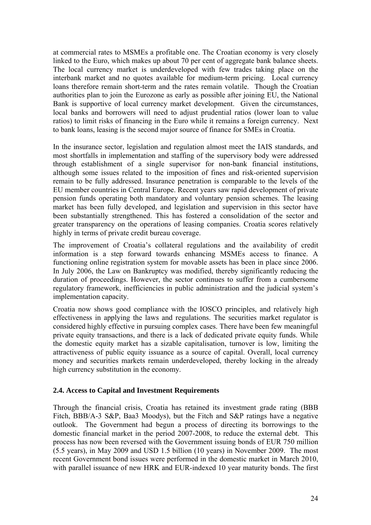at commercial rates to MSMEs a profitable one. The Croatian economy is very closely linked to the Euro, which makes up about 70 per cent of aggregate bank balance sheets. The local currency market is underdeveloped with few trades taking place on the interbank market and no quotes available for medium-term pricing. Local currency loans therefore remain short-term and the rates remain volatile. Though the Croatian authorities plan to join the Eurozone as early as possible after joining EU, the National Bank is supportive of local currency market development. Given the circumstances, local banks and borrowers will need to adjust prudential ratios (lower loan to value ratios) to limit risks of financing in the Euro while it remains a foreign currency. Next to bank loans, leasing is the second major source of finance for SMEs in Croatia.

In the insurance sector, legislation and regulation almost meet the IAIS standards, and most shortfalls in implementation and staffing of the supervisory body were addressed through establishment of a single supervisor for non-bank financial institutions, although some issues related to the imposition of fines and risk-oriented supervision remain to be fully addressed. Insurance penetration is comparable to the levels of the EU member countries in Central Europe. Recent years saw rapid development of private pension funds operating both mandatory and voluntary pension schemes. The leasing market has been fully developed, and legislation and supervision in this sector have been substantially strengthened. This has fostered a consolidation of the sector and greater transparency on the operations of leasing companies. Croatia scores relatively highly in terms of private credit bureau coverage.

The improvement of Croatia's collateral regulations and the availability of credit information is a step forward towards enhancing MSMEs access to finance. A functioning online registration system for movable assets has been in place since 2006. In July 2006, the Law on Bankruptcy was modified, thereby significantly reducing the duration of proceedings. However, the sector continues to suffer from a cumbersome regulatory framework, inefficiencies in public administration and the judicial system's implementation capacity.

Croatia now shows good compliance with the IOSCO principles, and relatively high effectiveness in applying the laws and regulations. The securities market regulator is considered highly effective in pursuing complex cases. There have been few meaningful private equity transactions, and there is a lack of dedicated private equity funds. While the domestic equity market has a sizable capitalisation, turnover is low, limiting the attractiveness of public equity issuance as a source of capital. Overall, local currency money and securities markets remain underdeveloped, thereby locking in the already high currency substitution in the economy.

# **2.4. Access to Capital and Investment Requirements**

Through the financial crisis, Croatia has retained its investment grade rating (BBB Fitch, BBB/A-3 S&P, Baa3 Moodys), but the Fitch and S&P ratings have a negative outlook. The Government had begun a process of directing its borrowings to the domestic financial market in the period 2007-2008, to reduce the external debt. This process has now been reversed with the Government issuing bonds of EUR 750 million (5.5 years), in May 2009 and USD 1.5 billion (10 years) in November 2009. The most recent Government bond issues were performed in the domestic market in March 2010, with parallel issuance of new HRK and EUR-indexed 10 year maturity bonds. The first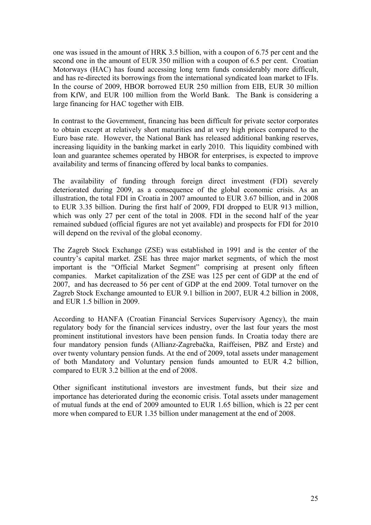one was issued in the amount of HRK 3.5 billion, with a coupon of 6.75 per cent and the second one in the amount of EUR 350 million with a coupon of 6.5 per cent. Croatian Motorways (HAC) has found accessing long term funds considerably more difficult, and has re-directed its borrowings from the international syndicated loan market to IFIs. In the course of 2009, HBOR borrowed EUR 250 million from EIB, EUR 30 million from KfW, and EUR 100 million from the World Bank. The Bank is considering a large financing for HAC together with EIB.

In contrast to the Government, financing has been difficult for private sector corporates to obtain except at relatively short maturities and at very high prices compared to the Euro base rate. However, the National Bank has released additional banking reserves, increasing liquidity in the banking market in early 2010. This liquidity combined with loan and guarantee schemes operated by HBOR for enterprises, is expected to improve availability and terms of financing offered by local banks to companies.

The availability of funding through foreign direct investment (FDI) severely deteriorated during 2009, as a consequence of the global economic crisis. As an illustration, the total FDI in Croatia in 2007 amounted to EUR 3.67 billion, and in 2008 to EUR 3.35 billion. During the first half of 2009, FDI dropped to EUR 913 million, which was only 27 per cent of the total in 2008. FDI in the second half of the year remained subdued (official figures are not yet available) and prospects for FDI for 2010 will depend on the revival of the global economy.

The Zagreb Stock Exchange (ZSE) was established in 1991 and is the center of the country's capital market. ZSE has three major market segments, of which the most important is the "Official Market Segment" comprising at present only fifteen companies. Market capitalization of the ZSE was 125 per cent of GDP at the end of 2007, and has decreased to 56 per cent of GDP at the end 2009. Total turnover on the Zagreb Stock Exchange amounted to EUR 9.1 billion in 2007, EUR 4.2 billion in 2008, and EUR 1.5 billion in 2009.

According to HANFA (Croatian Financial Services Supervisory Agency), the main regulatory body for the financial services industry, over the last four years the most prominent institutional investors have been pension funds. In Croatia today there are four mandatory pension funds (Allianz-Zagrebačka, Raiffeisen, PBZ and Erste) and over twenty voluntary pension funds. At the end of 2009, total assets under management of both Mandatory and Voluntary pension funds amounted to EUR 4.2 billion, compared to EUR 3.2 billion at the end of 2008.

Other significant institutional investors are investment funds, but their size and importance has deteriorated during the economic crisis. Total assets under management of mutual funds at the end of 2009 amounted to EUR 1.65 billion, which is 22 per cent more when compared to EUR 1.35 billion under management at the end of 2008.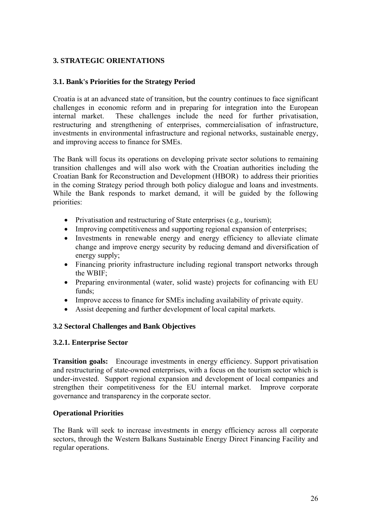# **3. STRATEGIC ORIENTATIONS**

# **3.1. Bank's Priorities for the Strategy Period**

Croatia is at an advanced state of transition, but the country continues to face significant challenges in economic reform and in preparing for integration into the European internal market. These challenges include the need for further privatisation, restructuring and strengthening of enterprises, commercialisation of infrastructure, investments in environmental infrastructure and regional networks, sustainable energy, and improving access to finance for SMEs.

The Bank will focus its operations on developing private sector solutions to remaining transition challenges and will also work with the Croatian authorities including the Croatian Bank for Reconstruction and Development (HBOR) to address their priorities in the coming Strategy period through both policy dialogue and loans and investments. While the Bank responds to market demand, it will be guided by the following priorities:

- Privatisation and restructuring of State enterprises (e.g., tourism);
- Improving competitiveness and supporting regional expansion of enterprises:
- Investments in renewable energy and energy efficiency to alleviate climate change and improve energy security by reducing demand and diversification of energy supply;
- Financing priority infrastructure including regional transport networks through the WBIF;
- Preparing environmental (water, solid waste) projects for cofinancing with EU funds;
- Improve access to finance for SMEs including availability of private equity.
- Assist deepening and further development of local capital markets.

### **3.2 Sectoral Challenges and Bank Objectives**

### **3.2.1. Enterprise Sector**

**Transition goals:** Encourage investments in energy efficiency. Support privatisation and restructuring of state-owned enterprises, with a focus on the tourism sector which is under-invested. Support regional expansion and development of local companies and strengthen their competitiveness for the EU internal market. Improve corporate governance and transparency in the corporate sector.

### **Operational Priorities**

The Bank will seek to increase investments in energy efficiency across all corporate sectors, through the Western Balkans Sustainable Energy Direct Financing Facility and regular operations.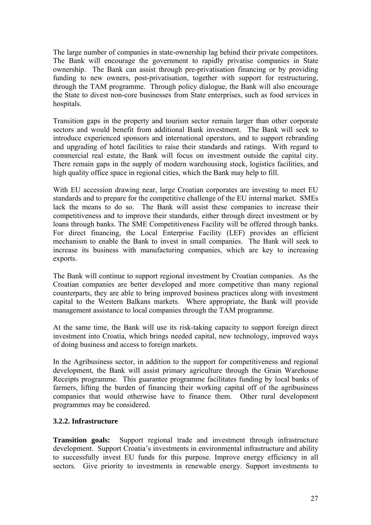The large number of companies in state-ownership lag behind their private competitors. The Bank will encourage the government to rapidly privatise companies in State ownership. The Bank can assist through pre-privatisation financing or by providing funding to new owners, post-privatisation, together with support for restructuring, through the TAM programme. Through policy dialogue, the Bank will also encourage the State to divest non-core businesses from State enterprises, such as food services in hospitals.

Transition gaps in the property and tourism sector remain larger than other corporate sectors and would benefit from additional Bank investment. The Bank will seek to introduce experienced sponsors and international operators, and to support rebranding and upgrading of hotel facilities to raise their standards and ratings. With regard to commercial real estate, the Bank will focus on investment outside the capital city. There remain gaps in the supply of modern warehousing stock, logistics facilities, and high quality office space in regional cities, which the Bank may help to fill.

With EU accession drawing near, large Croatian corporates are investing to meet EU standards and to prepare for the competitive challenge of the EU internal market. SMEs lack the means to do so. The Bank will assist these companies to increase their competitiveness and to improve their standards, either through direct investment or by loans through banks. The SME Competitiveness Facility will be offered through banks. For direct financing, the Local Enterprise Facility (LEF) provides an efficient mechanism to enable the Bank to invest in small companies. The Bank will seek to increase its business with manufacturing companies, which are key to increasing exports.

The Bank will continue to support regional investment by Croatian companies. As the Croatian companies are better developed and more competitive than many regional counterparts, they are able to bring improved business practices along with investment capital to the Western Balkans markets. Where appropriate, the Bank will provide management assistance to local companies through the TAM programme.

At the same time, the Bank will use its risk-taking capacity to support foreign direct investment into Croatia, which brings needed capital, new technology, improved ways of doing business and access to foreign markets.

In the Agribusiness sector, in addition to the support for competitiveness and regional development, the Bank will assist primary agriculture through the Grain Warehouse Receipts programme. This guarantee programme facilitates funding by local banks of farmers, lifting the burden of financing their working capital off of the agribusiness companies that would otherwise have to finance them. Other rural development programmes may be considered.

# **3.2.2. Infrastructure**

**Transition goals:** Support regional trade and investment through infrastructure development. Support Croatia's investments in environmental infrastructure and ability to successfully invest EU funds for this purpose. Improve energy efficiency in all sectors. Give priority to investments in renewable energy. Support investments to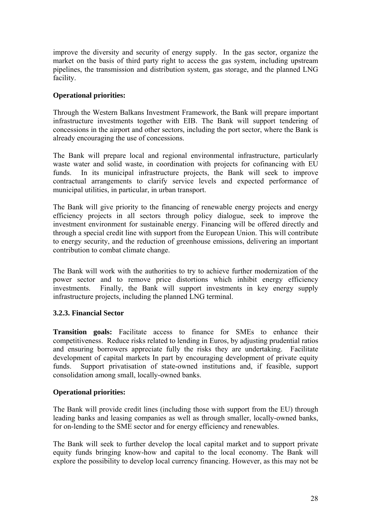improve the diversity and security of energy supply. In the gas sector, organize the market on the basis of third party right to access the gas system, including upstream pipelines, the transmission and distribution system, gas storage, and the planned LNG facility.

# **Operational priorities:**

Through the Western Balkans Investment Framework, the Bank will prepare important infrastructure investments together with EIB. The Bank will support tendering of concessions in the airport and other sectors, including the port sector, where the Bank is already encouraging the use of concessions.

The Bank will prepare local and regional environmental infrastructure, particularly waste water and solid waste, in coordination with projects for cofinancing with EU funds. In its municipal infrastructure projects, the Bank will seek to improve contractual arrangements to clarify service levels and expected performance of municipal utilities, in particular, in urban transport.

The Bank will give priority to the financing of renewable energy projects and energy efficiency projects in all sectors through policy dialogue, seek to improve the investment environment for sustainable energy. Financing will be offered directly and through a special credit line with support from the European Union. This will contribute to energy security, and the reduction of greenhouse emissions, delivering an important contribution to combat climate change.

The Bank will work with the authorities to try to achieve further modernization of the power sector and to remove price distortions which inhibit energy efficiency investments. Finally, the Bank will support investments in key energy supply infrastructure projects, including the planned LNG terminal.

# **3.2.3. Financial Sector**

**Transition goals:** Facilitate access to finance for SMEs to enhance their competitiveness. Reduce risks related to lending in Euros, by adjusting prudential ratios and ensuring borrowers appreciate fully the risks they are undertaking. Facilitate development of capital markets In part by encouraging development of private equity funds. Support privatisation of state-owned institutions and, if feasible, support consolidation among small, locally-owned banks.

# **Operational priorities:**

The Bank will provide credit lines (including those with support from the EU) through leading banks and leasing companies as well as through smaller, locally-owned banks, for on-lending to the SME sector and for energy efficiency and renewables.

The Bank will seek to further develop the local capital market and to support private equity funds bringing know-how and capital to the local economy. The Bank will explore the possibility to develop local currency financing. However, as this may not be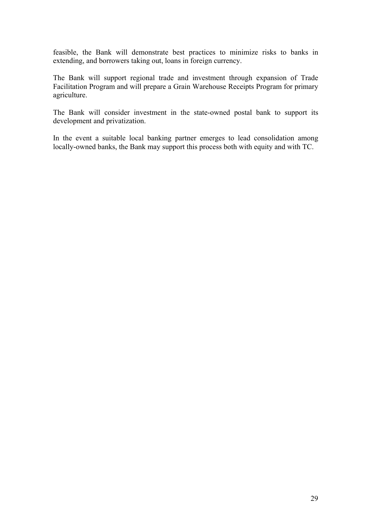feasible, the Bank will demonstrate best practices to minimize risks to banks in extending, and borrowers taking out, loans in foreign currency.

The Bank will support regional trade and investment through expansion of Trade Facilitation Program and will prepare a Grain Warehouse Receipts Program for primary agriculture.

The Bank will consider investment in the state-owned postal bank to support its development and privatization.

In the event a suitable local banking partner emerges to lead consolidation among locally-owned banks, the Bank may support this process both with equity and with TC.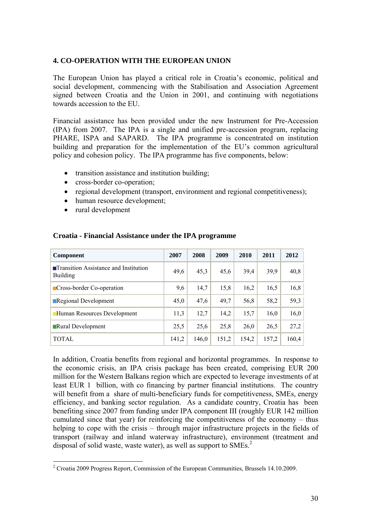### **4. CO-OPERATION WITH THE EUROPEAN UNION**

The European Union has played a critical role in Croatia's economic, political and social development, commencing with the Stabilisation and Association Agreement signed between Croatia and the Union in 2001, and continuing with negotiations towards accession to the EU.

Financial assistance has been provided under the new Instrument for Pre-Accession (IPA) from 2007. The IPA is a single and unified pre-accession program, replacing PHARE, ISPA and SAPARD. The IPA programme is concentrated on institution building and preparation for the implementation of the EU's common agricultural policy and cohesion policy. The IPA programme has five components, below:

- transition assistance and institution building;
- cross-border co-operation;
- regional development (transport, environment and regional competitiveness);
- human resource development;
- rural development

| <b>Component</b>                                                | 2007  | 2008  | 2009  | 2010  | 2011  | 2012  |
|-----------------------------------------------------------------|-------|-------|-------|-------|-------|-------|
| <b>Transition Assistance and Institution</b><br><b>Building</b> | 49,6  | 45,3  | 45,6  | 39,4  | 39,9  | 40,8  |
| Cross-border Co-operation                                       | 9,6   | 14,7  | 15,8  | 16,2  | 16,5  | 16,8  |
| Regional Development                                            | 45,0  | 47,6  | 49,7  | 56,8  | 58,2  | 59,3  |
| Human Resources Development                                     | 11,3  | 12,7  | 14,2  | 15,7  | 16,0  | 16,0  |
| Rural Development                                               | 25,5  | 25,6  | 25,8  | 26,0  | 26,5  | 27,2  |
| <b>TOTAL</b>                                                    | 141,2 | 146,0 | 151,2 | 154,2 | 157,2 | 160,4 |

### **Croatia - Financial Assistance under the IPA programme**

In addition, Croatia benefits from regional and horizontal programmes. In response to the economic crisis, an IPA crisis package has been created, comprising EUR 200 million for the Western Balkans region which are expected to leverage investments of at least EUR 1 billion, with co financing by partner financial institutions. The country will benefit from a share of multi-beneficiary funds for competitiveness, SMEs, energy efficiency, and banking sector regulation. As a candidate country, Croatia has been benefiting since 2007 from funding under IPA component III (roughly EUR 142 million cumulated since that year) for reinforcing the competitiveness of the economy – thus helping to cope with the crisis – through major infrastructure projects in the fields of transport (railway and inland waterway infrastructure), environment (treatment and disposal of solid waste, waste water), as well as support to  $\text{SMEs}^2$ 

 2 Croatia 2009 Progress Report, Commission of the European Communities, Brussels 14.10.2009.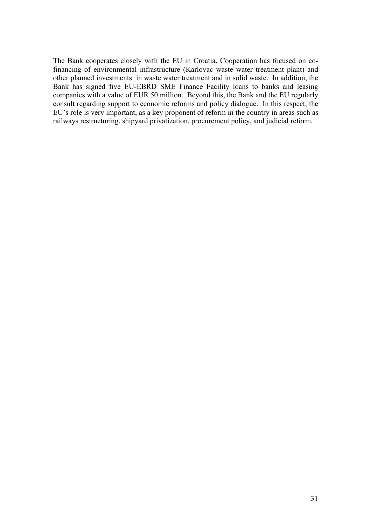The Bank cooperates closely with the EU in Croatia. Cooperation has focused on cofinancing of environmental infrastructure (Karlovac waste water treatment plant) and other planned investments in waste water treatment and in solid waste. In addition, the Bank has signed five EU-EBRD SME Finance Facility loans to banks and leasing companies with a value of EUR 50 million. Beyond this, the Bank and the EU regularly consult regarding support to economic reforms and policy dialogue. In this respect, the EU's role is very important, as a key proponent of reform in the country in areas such as railways restructuring, shipyard privatization, procurement policy, and judicial reform.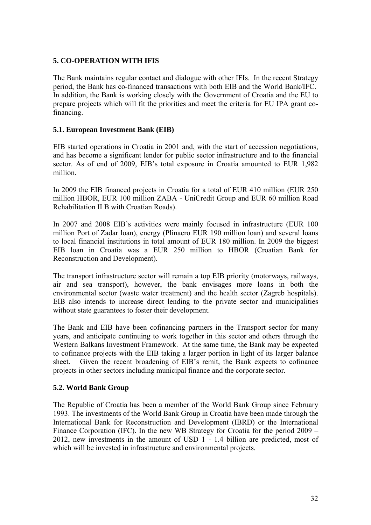# **5. CO-OPERATION WITH IFIS**

The Bank maintains regular contact and dialogue with other IFIs. In the recent Strategy period, the Bank has co-financed transactions with both EIB and the World Bank/IFC. In addition, the Bank is working closely with the Government of Croatia and the EU to prepare projects which will fit the priorities and meet the criteria for EU IPA grant cofinancing.

# **5.1. European Investment Bank (EIB)**

EIB started operations in Croatia in 2001 and, with the start of accession negotiations, and has become a significant lender for public sector infrastructure and to the financial sector. As of end of 2009, EIB's total exposure in Croatia amounted to EUR 1,982 million.

In 2009 the EIB financed projects in Croatia for a total of EUR 410 million (EUR 250 million HBOR, EUR 100 million ZABA - UniCredit Group and EUR 60 million Road Rehabilitation II B with Croatian Roads).

In 2007 and 2008 EIB's activities were mainly focused in infrastructure (EUR 100 million Port of Zadar loan), energy (Plinacro EUR 190 million loan) and several loans to local financial institutions in total amount of EUR 180 million. In 2009 the biggest EIB loan in Croatia was a EUR 250 million to HBOR (Croatian Bank for Reconstruction and Development).

The transport infrastructure sector will remain a top EIB priority (motorways, railways, air and sea transport), however, the bank envisages more loans in both the environmental sector (waste water treatment) and the health sector (Zagreb hospitals). EIB also intends to increase direct lending to the private sector and municipalities without state guarantees to foster their development.

The Bank and EIB have been cofinancing partners in the Transport sector for many years, and anticipate continuing to work together in this sector and others through the Western Balkans Investment Framework. At the same time, the Bank may be expected to cofinance projects with the EIB taking a larger portion in light of its larger balance sheet. Given the recent broadening of EIB's remit, the Bank expects to cofinance projects in other sectors including municipal finance and the corporate sector.

# **5.2. World Bank Group**

The Republic of Croatia has been a member of the World Bank Group since February 1993. The investments of the World Bank Group in Croatia have been made through the International Bank for Reconstruction and Development (IBRD) or the International Finance Corporation (IFC). In the new WB Strategy for Croatia for the period 2009 – 2012, new investments in the amount of USD 1 - 1.4 billion are predicted, most of which will be invested in infrastructure and environmental projects.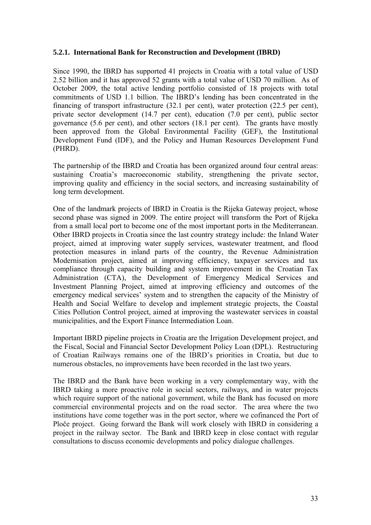### **5.2.1. International Bank for Reconstruction and Development (IBRD)**

Since 1990, the IBRD has supported 41 projects in Croatia with a total value of USD 2.52 billion and it has approved 52 grants with a total value of USD 70 million. As of October 2009, the total active lending portfolio consisted of 18 projects with total commitments of USD 1.1 billion. The IBRD's lending has been concentrated in the financing of transport infrastructure (32.1 per cent), water protection (22.5 per cent), private sector development (14.7 per cent), education (7.0 per cent), public sector governance (5.6 per cent), and other sectors (18.1 per cent). The grants have mostly been approved from the Global Environmental Facility (GEF), the Institutional Development Fund (IDF), and the Policy and Human Resources Development Fund (PHRD).

The partnership of the IBRD and Croatia has been organized around four central areas: sustaining Croatia's macroeconomic stability, strengthening the private sector, improving quality and efficiency in the social sectors, and increasing sustainability of long term development.

One of the landmark projects of IBRD in Croatia is the Rijeka Gateway project, whose second phase was signed in 2009. The entire project will transform the Port of Rijeka from a small local port to become one of the most important ports in the Mediterranean. Other IBRD projects in Croatia since the last country strategy include: the Inland Water project, aimed at improving water supply services, wastewater treatment, and flood protection measures in inland parts of the country, the Revenue Administration Modernisation project, aimed at improving efficiency, taxpayer services and tax compliance through capacity building and system improvement in the Croatian Tax Administration (CTA), the Development of Emergency Medical Services and Investment Planning Project, aimed at improving efficiency and outcomes of the emergency medical services' system and to strengthen the capacity of the Ministry of Health and Social Welfare to develop and implement strategic projects, the Coastal Cities Pollution Control project, aimed at improving the wastewater services in coastal municipalities, and the Export Finance Intermediation Loan.

Important IBRD pipeline projects in Croatia are the Irrigation Development project, and the Fiscal, Social and Financial Sector Development Policy Loan (DPL). Restructuring of Croatian Railways remains one of the IBRD's priorities in Croatia, but due to numerous obstacles, no improvements have been recorded in the last two years.

The IBRD and the Bank have been working in a very complementary way, with the IBRD taking a more proactive role in social sectors, railways, and in water projects which require support of the national government, while the Bank has focused on more commercial environmental projects and on the road sector. The area where the two institutions have come together was in the port sector, where we cofinanced the Port of Ploče project. Going forward the Bank will work closely with IBRD in considering a project in the railway sector. The Bank and IBRD keep in close contact with regular consultations to discuss economic developments and policy dialogue challenges.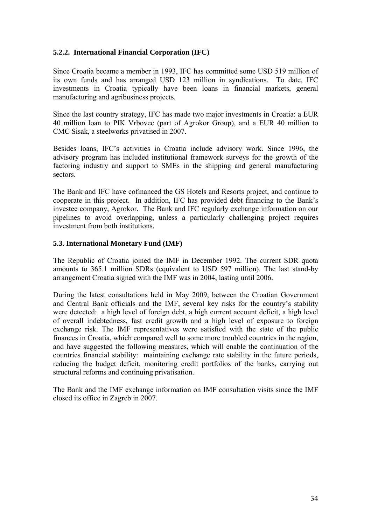### **5.2.2. International Financial Corporation (IFC)**

Since Croatia became a member in 1993, IFC has committed some USD 519 million of its own funds and has arranged USD 123 million in syndications. To date, IFC investments in Croatia typically have been loans in financial markets, general manufacturing and agribusiness projects.

Since the last country strategy, IFC has made two major investments in Croatia: a EUR 40 million loan to PIK Vrbovec (part of Agrokor Group), and a EUR 40 million to CMC Sisak, a steelworks privatised in 2007.

Besides loans, IFC's activities in Croatia include advisory work. Since 1996, the advisory program has included institutional framework surveys for the growth of the factoring industry and support to SMEs in the shipping and general manufacturing sectors.

The Bank and IFC have cofinanced the GS Hotels and Resorts project, and continue to cooperate in this project. In addition, IFC has provided debt financing to the Bank's investee company, Agrokor. The Bank and IFC regularly exchange information on our pipelines to avoid overlapping, unless a particularly challenging project requires investment from both institutions.

### **5.3. International Monetary Fund (IMF)**

The Republic of Croatia joined the IMF in December 1992. The current SDR quota amounts to 365.1 million SDRs (equivalent to USD 597 million). The last stand-by arrangement Croatia signed with the IMF was in 2004, lasting until 2006.

During the latest consultations held in May 2009, between the Croatian Government and Central Bank officials and the IMF, several key risks for the country's stability were detected: a high level of foreign debt, a high current account deficit, a high level of overall indebtedness, fast credit growth and a high level of exposure to foreign exchange risk. The IMF representatives were satisfied with the state of the public finances in Croatia, which compared well to some more troubled countries in the region, and have suggested the following measures, which will enable the continuation of the countries financial stability: maintaining exchange rate stability in the future periods, reducing the budget deficit, monitoring credit portfolios of the banks, carrying out structural reforms and continuing privatisation.

The Bank and the IMF exchange information on IMF consultation visits since the IMF closed its office in Zagreb in 2007.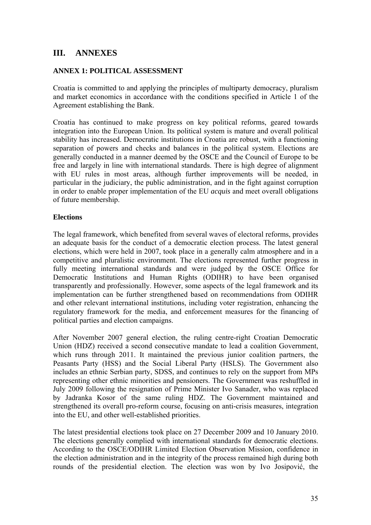# **III. ANNEXES**

### **ANNEX 1: POLITICAL ASSESSMENT**

Croatia is committed to and applying the principles of multiparty democracy, pluralism and market economics in accordance with the conditions specified in Article 1 of the Agreement establishing the Bank.

Croatia has continued to make progress on key political reforms, geared towards integration into the European Union. Its political system is mature and overall political stability has increased. Democratic institutions in Croatia are robust, with a functioning separation of powers and checks and balances in the political system. Elections are generally conducted in a manner deemed by the OSCE and the Council of Europe to be free and largely in line with international standards. There is high degree of alignment with EU rules in most areas, although further improvements will be needed, in particular in the judiciary, the public administration, and in the fight against corruption in order to enable proper implementation of the EU *acquis* and meet overall obligations of future membership.

### **Elections**

The legal framework, which benefited from several waves of electoral reforms, provides an adequate basis for the conduct of a democratic election process. The latest general elections, which were held in 2007, took place in a generally calm atmosphere and in a competitive and pluralistic environment. The elections represented further progress in fully meeting international standards and were judged by the OSCE Office for Democratic Institutions and Human Rights (ODIHR) to have been organised transparently and professionally. However, some aspects of the legal framework and its implementation can be further strengthened based on recommendations from ODIHR and other relevant international institutions, including voter registration, enhancing the regulatory framework for the media, and enforcement measures for the financing of political parties and election campaigns.

After November 2007 general election, the ruling centre-right Croatian Democratic Union (HDZ) received a second consecutive mandate to lead a coalition Government, which runs through 2011. It maintained the previous junior coalition partners, the Peasants Party (HSS) and the Social Liberal Party (HSLS). The Government also includes an ethnic Serbian party, SDSS, and continues to rely on the support from MPs representing other ethnic minorities and pensioners. The Government was reshuffled in July 2009 following the resignation of Prime Minister Ivo Sanader, who was replaced by Jadranka Kosor of the same ruling HDZ. The Government maintained and strengthened its overall pro-reform course, focusing on anti-crisis measures, integration into the EU, and other well-established priorities.

The latest presidential elections took place on 27 December 2009 and 10 January 2010. The elections generally complied with international standards for democratic elections. According to the OSCE/ODIHR Limited Election Observation Mission, confidence in the election administration and in the integrity of the process remained high during both rounds of the presidential election. The election was won by Ivo Josipović, the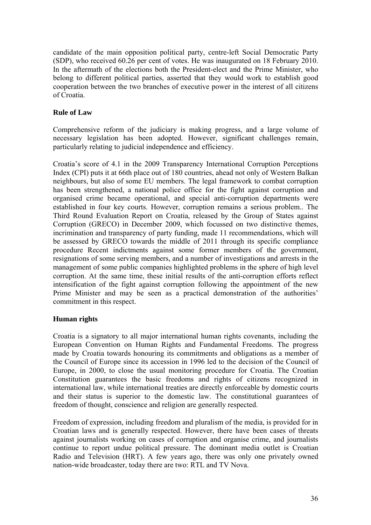candidate of the main opposition political party, centre-left Social Democratic Party (SDP), who received 60.26 per cent of votes. He was inaugurated on 18 February 2010. In the aftermath of the elections both the President-elect and the Prime Minister, who belong to different political parties, asserted that they would work to establish good cooperation between the two branches of executive power in the interest of all citizens of Croatia.

# **Rule of Law**

Comprehensive reform of the judiciary is making progress, and a large volume of necessary legislation has been adopted. However, significant challenges remain, particularly relating to judicial independence and efficiency.

Croatia's score of 4.1 in the 2009 Transparency International Corruption Perceptions Index (CPI) puts it at 66th place out of 180 countries, ahead not only of Western Balkan neighbours, but also of some EU members. The legal framework to combat corruption has been strengthened, a national police office for the fight against corruption and organised crime became operational, and special anti-corruption departments were established in four key courts. However, corruption remains a serious problem.. The Third Round Evaluation Report on Croatia, released by the Group of States against Corruption (GRECO) in December 2009, which focussed on two distinctive themes, incrimination and transparency of party funding, made 11 recommendations, which will be assessed by GRECO towards the middle of 2011 through its specific compliance procedure Recent indictments against some former members of the government, resignations of some serving members, and a number of investigations and arrests in the management of some public companies highlighted problems in the sphere of high level corruption. At the same time, these initial results of the anti-corruption efforts reflect intensification of the fight against corruption following the appointment of the new Prime Minister and may be seen as a practical demonstration of the authorities' commitment in this respect.

# **Human rights**

Croatia is a signatory to all major international human rights covenants, including the European Convention on Human Rights and Fundamental Freedoms. The progress made by Croatia towards honouring its commitments and obligations as a member of the Council of Europe since its accession in 1996 led to the decision of the Council of Europe, in 2000, to close the usual monitoring procedure for Croatia. The Croatian Constitution guarantees the basic freedoms and rights of citizens recognized in international law, while international treaties are directly enforceable by domestic courts and their status is superior to the domestic law. The constitutional guarantees of freedom of thought, conscience and religion are generally respected.

Freedom of expression, including freedom and pluralism of the media, is provided for in Croatian laws and is generally respected. However, there have been cases of threats against journalists working on cases of corruption and organise crime, and journalists continue to report undue political pressure. The dominant media outlet is Croatian Radio and Television (HRT). A few years ago, there was only one privately owned nation-wide broadcaster, today there are two: RTL and TV Nova.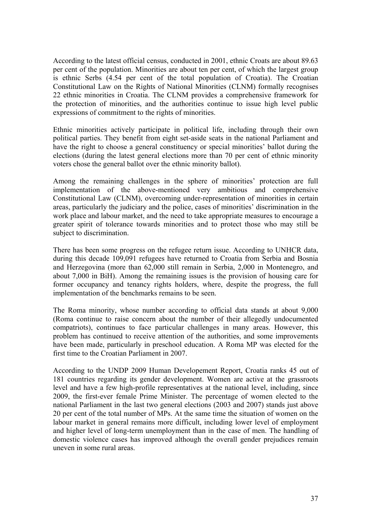According to the latest official census, conducted in 2001, ethnic Croats are about 89.63 per cent of the population. Minorities are about ten per cent, of which the largest group is ethnic Serbs (4.54 per cent of the total population of Croatia). The Croatian Constitutional Law on the Rights of National Minorities (CLNM) formally recognises 22 ethnic minorities in Croatia. The CLNM provides a comprehensive framework for the protection of minorities, and the authorities continue to issue high level public expressions of commitment to the rights of minorities.

Ethnic minorities actively participate in political life, including through their own political parties. They benefit from eight set-aside seats in the national Parliament and have the right to choose a general constituency or special minorities' ballot during the elections (during the latest general elections more than 70 per cent of ethnic minority voters chose the general ballot over the ethnic minority ballot).

Among the remaining challenges in the sphere of minorities' protection are full implementation of the above-mentioned very ambitious and comprehensive Constitutional Law (CLNM), overcoming under-representation of minorities in certain areas, particularly the judiciary and the police, cases of minorities' discrimination in the work place and labour market, and the need to take appropriate measures to encourage a greater spirit of tolerance towards minorities and to protect those who may still be subject to discrimination.

There has been some progress on the refugee return issue. According to UNHCR data, during this decade 109,091 refugees have returned to Croatia from Serbia and Bosnia and Herzegovina (more than 62,000 still remain in Serbia, 2,000 in Montenegro, and about 7,000 in BiH). Among the remaining issues is the provision of housing care for former occupancy and tenancy rights holders, where, despite the progress, the full implementation of the benchmarks remains to be seen.

The Roma minority, whose number according to official data stands at about 9,000 (Roma continue to raise concern about the number of their allegedly undocumented compatriots), continues to face particular challenges in many areas. However, this problem has continued to receive attention of the authorities, and some improvements have been made, particularly in preschool education. A Roma MP was elected for the first time to the Croatian Parliament in 2007.

According to the UNDP 2009 Human Developement Report, Croatia ranks 45 out of 181 countries regarding its gender development. Women are active at the grassroots level and have a few high-profile representatives at the national level, including, since 2009, the first-ever female Prime Minister. The percentage of women elected to the national Parliament in the last two general elections (2003 and 2007) stands just above 20 per cent of the total number of MPs. At the same time the situation of women on the labour market in general remains more difficult, including lower level of employment and higher level of long-term unemployment than in the case of men. The handling of domestic violence cases has improved although the overall gender prejudices remain uneven in some rural areas.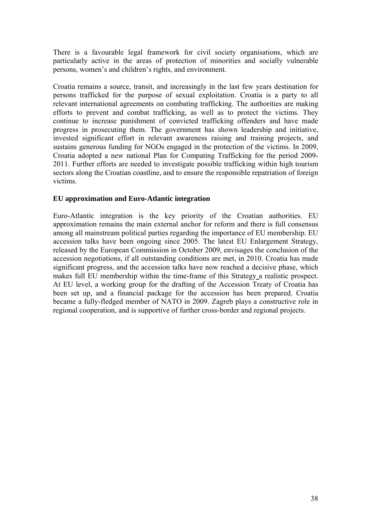There is a favourable legal framework for civil society organisations, which are particularly active in the areas of protection of minorities and socially vulnerable persons, women's and children's rights, and environment.

Croatia remains a source, transit, and increasingly in the last few years destination for persons trafficked for the purpose of sexual exploitation. Croatia is a party to all relevant international agreements on combating trafficking. The authorities are making efforts to prevent and combat trafficking, as well as to protect the victims. They continue to increase punishment of convicted trafficking offenders and have made progress in prosecuting them. The government has shown leadership and initiative, invested significant effort in relevant awareness raising and training projects, and sustains generous funding for NGOs engaged in the protection of the victims. In 2009, Croatia adopted a new national Plan for Compating Trafficking for the period 2009- 2011. Further efforts are needed to investigate possible trafficking within high tourism sectors along the Croatian coastline, and to ensure the responsible repatriation of foreign victims.

# **EU approximation and Euro-Atlantic integration**

Euro-Atlantic integration is the key priority of the Croatian authorities. EU approximation remains the main external anchor for reform and there is full consensus among all mainstream political parties regarding the importance of EU membership. EU accession talks have been ongoing since 2005. The latest EU Enlargement Strategy, released by the European Commission in October 2009, envisages the conclusion of the accession negotiations, if all outstanding conditions are met, in 2010. Croatia has made significant progress, and the accession talks have now reached a decisive phase, which makes full EU membership within the time-frame of this Strategy a realistic prospect. At EU level, a working group for the drafting of the Accession Treaty of Croatia has been set up, and a financial package for the accession has been prepared. Croatia became a fully-fledged member of NATO in 2009. Zagreb plays a constructive role in regional cooperation, and is supportive of further cross-border and regional projects.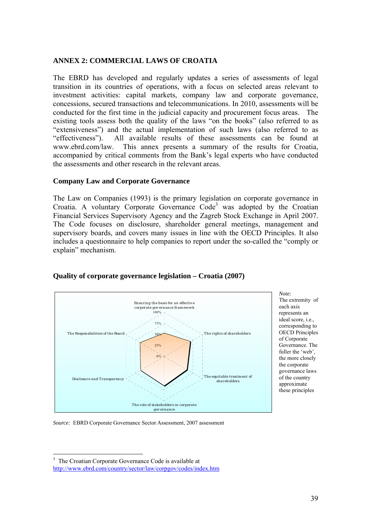### **ANNEX 2: COMMERCIAL LAWS OF CROATIA**

The EBRD has developed and regularly updates a series of assessments of legal transition in its countries of operations, with a focus on selected areas relevant to investment activities: capital markets, company law and corporate governance, concessions, secured transactions and telecommunications. In 2010, assessments will be conducted for the first time in the judicial capacity and procurement focus areas. The existing tools assess both the quality of the laws "on the books" (also referred to as "extensiveness") and the actual implementation of such laws (also referred to as "effectiveness"). All available results of these assessments can be found at www.ebrd.com/law. This annex presents a summary of the results for Croatia, accompanied by critical comments from the Bank's legal experts who have conducted the assessments and other research in the relevant areas.

### **Company Law and Corporate Governance**

The Law on Companies (1993) is the primary legislation on corporate governance in Croatia. A voluntary Corporate Governance Code<sup>3</sup> was adopted by the Croatian Financial Services Supervisory Agency and the Zagreb Stock Exchange in April 2007. The Code focuses on disclosure, shareholder general meetings, management and supervisory boards, and covers many issues in line with the OECD Principles. It also includes a questionnaire to help companies to report under the so-called the "comply or explain" mechanism.



The extremity of each axis represents an ideal score, i.e., corresponding to OECD Principles of Corporate Governance. The fuller the 'web', the more closely the corporate governance laws of the country approximate these principles

*Note:*

# **Quality of corporate governance legislation – Croatia (2007)**

*Source:* EBRD Corporate Governance Sector Assessment, 2007 assessment

 $\overline{a}$ 

<sup>&</sup>lt;sup>3</sup> The Croatian Corporate Governance Code is available at

http://www.ebrd.com/country/sector/law/corpgov/codes/index.htm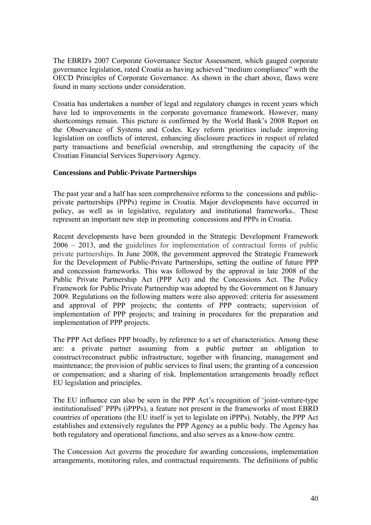The EBRD's 2007 Corporate Governance Sector Assessment, which gauged corporate governance legislation, rated Croatia as having achieved "medium compliance" with the OECD Principles of Corporate Governance. As shown in the chart above, flaws were found in many sections under consideration.

Croatia has undertaken a number of legal and regulatory changes in recent years which have led to improvements in the corporate governance framework. However, many shortcomings remain. This picture is confirmed by the World Bank's 2008 Report on the Observance of Systems and Codes. Key reform priorities include improving legislation on conflicts of interest, enhancing disclosure practices in respect of related party transactions and beneficial ownership, and strengthening the capacity of the Croatian Financial Services Supervisory Agency.

# **Concessions and Public-Private Partnerships**

The past year and a half has seen comprehensive reforms to the concessions and publicprivate partnerships (PPPs) regime in Croatia. Major developments have occurred in policy, as well as in legislative, regulatory and institutional frameworks.. These represent an important new step in promoting concessions and PPPs in Croatia.

Recent developments have been grounded in the Strategic Development Framework 2006 – 2013, and the guidelines for implementation of contractual forms of public private partnerships. In June 2008, the government approved the Strategic Framework for the Development of Public-Private Partnerships, setting the outline of future PPP and concession frameworks. This was followed by the approval in late 2008 of the Public Private Partnership Act (PPP Act) and the Concessions Act. The Policy Framework for Public Private Partnership was adopted by the Government on 8 January 2009. Regulations on the following matters were also approved: criteria for assessment and approval of PPP projects; the contents of PPP contracts; supervision of implementation of PPP projects; and training in procedures for the preparation and implementation of PPP projects.

The PPP Act defines PPP broadly, by reference to a set of characteristics. Among these are: a private partner assuming from a public partner an obligation to construct/reconstruct public infrastructure, together with financing, management and maintenance; the provision of public services to final users; the granting of a concession or compensation; and a sharing of risk. Implementation arrangements broadly reflect EU legislation and principles.

The EU influence can also be seen in the PPP Act's recognition of 'joint-venture-type institutionalised' PPPs (iPPPs), a feature not present in the frameworks of most EBRD countries of operations (the EU itself is yet to legislate on iPPPs). Notably, the PPP Act establishes and extensively regulates the PPP Agency as a public body. The Agency has both regulatory and operational functions, and also serves as a know-how centre.

The Concession Act governs the procedure for awarding concessions, implementation arrangements, monitoring rules, and contractual requirements. The definitions of public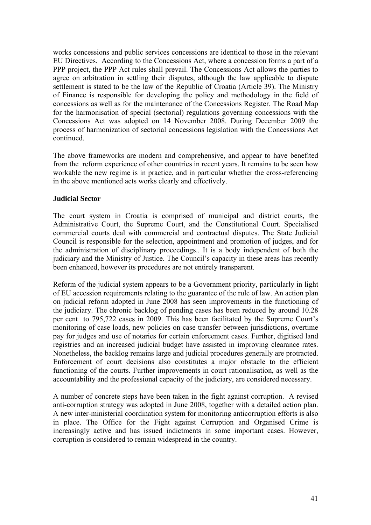works concessions and public services concessions are identical to those in the relevant EU Directives. According to the Concessions Act, where a concession forms a part of a PPP project, the PPP Act rules shall prevail. The Concessions Act allows the parties to agree on arbitration in settling their disputes, although the law applicable to dispute settlement is stated to be the law of the Republic of Croatia (Article 39). The Ministry of Finance is responsible for developing the policy and methodology in the field of concessions as well as for the maintenance of the Concessions Register. The Road Map for the harmonisation of special (sectorial) regulations governing concessions with the Concessions Act was adopted on 14 November 2008. During December 2009 the process of harmonization of sectorial concessions legislation with the Concessions Act continued.

The above frameworks are modern and comprehensive, and appear to have benefited from the reform experience of other countries in recent years. It remains to be seen how workable the new regime is in practice, and in particular whether the cross-referencing in the above mentioned acts works clearly and effectively.

### **Judicial Sector**

The court system in Croatia is comprised of municipal and district courts, the Administrative Court, the Supreme Court, and the Constitutional Court. Specialised commercial courts deal with commercial and contractual disputes. The State Judicial Council is responsible for the selection, appointment and promotion of judges, and for the administration of disciplinary proceedings.. It is a body independent of both the judiciary and the Ministry of Justice. The Council's capacity in these areas has recently been enhanced, however its procedures are not entirely transparent.

Reform of the judicial system appears to be a Government priority, particularly in light of EU accession requirements relating to the guarantee of the rule of law. An action plan on judicial reform adopted in June 2008 has seen improvements in the functioning of the judiciary. The chronic backlog of pending cases has been reduced by around 10.28 per cent to 795,722 cases in 2009. This has been facilitated by the Supreme Court's monitoring of case loads, new policies on case transfer between jurisdictions, overtime pay for judges and use of notaries for certain enforcement cases. Further, digitised land registries and an increased judicial budget have assisted in improving clearance rates. Nonetheless, the backlog remains large and judicial procedures generally are protracted. Enforcement of court decisions also constitutes a major obstacle to the efficient functioning of the courts. Further improvements in court rationalisation, as well as the accountability and the professional capacity of the judiciary, are considered necessary.

A number of concrete steps have been taken in the fight against corruption. A revised anti-corruption strategy was adopted in June 2008, together with a detailed action plan. A new inter-ministerial coordination system for monitoring anticorruption efforts is also in place. The Office for the Fight against Corruption and Organised Crime is increasingly active and has issued indictments in some important cases. However, corruption is considered to remain widespread in the country.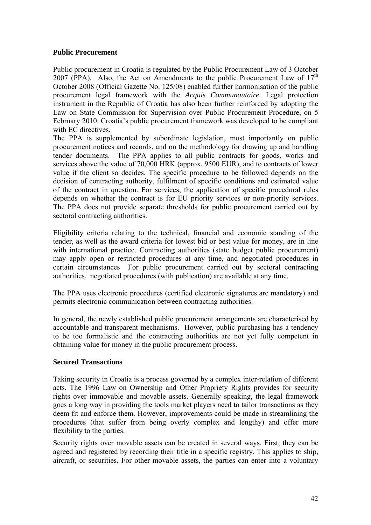### **Public Procurement**

Public procurement in Croatia is regulated by the Public Procurement Law of 3 October 2007 (PPA). Also, the Act on Amendments to the public Procurement Law of  $17<sup>th</sup>$ October 2008 (Official Gazette No. 125/08) enabled further harmonisation of the public procurement legal framework with the *Acquis Communautaire*. Legal protection instrument in the Republic of Croatia has also been further reinforced by adopting the Law on State Commission for Supervision over Public Procurement Procedure, on 5 February 2010. Croatia's public procurement framework was developed to be compliant with EC directives.

The PPA is supplemented by subordinate legislation, most importantly on public procurement notices and records, and on the methodology for drawing up and handling tender documents. The PPA applies to all public contracts for goods, works and services above the value of 70,000 HRK (approx. 9500 EUR), and to contracts of lower value if the client so decides. The specific procedure to be followed depends on the decision of contracting authority, fulfilment of specific conditions and estimated value of the contract in question. For services, the application of specific procedural rules depends on whether the contract is for EU priority services or non-priority services. The PPA does not provide separate thresholds for public procurement carried out by sectoral contracting authorities.

Eligibility criteria relating to the technical, financial and economic standing of the tender, as well as the award criteria for lowest bid or best value for money, are in line with international practice. Contracting authorities (state budget public procurement) may apply open or restricted procedures at any time, and negotiated procedures in certain circumstances For public procurement carried out by sectoral contracting authorities, negotiated procedures (with publication) are available at any time.

The PPA uses electronic procedures (certified electronic signatures are mandatory) and permits electronic communication between contracting authorities.

In general, the newly established public procurement arrangements are characterised by accountable and transparent mechanisms. However, public purchasing has a tendency to be too formalistic and the contracting authorities are not yet fully competent in obtaining value for money in the public procurement process.

# **Secured Transactions**

Taking security in Croatia is a process governed by a complex inter-relation of different acts. The 1996 Law on Ownership and Other Propriety Rights provides for security rights over immovable and movable assets. Generally speaking, the legal framework goes a long way in providing the tools market players need to tailor transactions as they deem fit and enforce them. However, improvements could be made in streamlining the procedures (that suffer from being overly complex and lengthy) and offer more flexibility to the parties.

Security rights over movable assets can be created in several ways. First, they can be agreed and registered by recording their title in a specific registry. This applies to ship, aircraft, or securities. For other movable assets, the parties can enter into a voluntary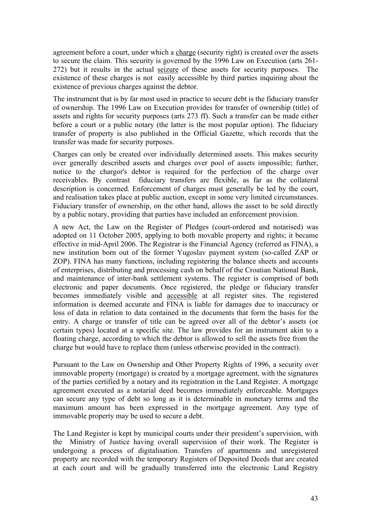agreement before a court, under which a charge (security right) is created over the assets to secure the claim. This security is governed by the 1996 Law on Execution (arts 261- 272) but it results in the actual seizure of these assets for security purposes. The existence of these charges is not easily accessible by third parties inquiring about the existence of previous charges against the debtor.

The instrument that is by far most used in practice to secure debt is the fiduciary transfer of ownership. The 1996 Law on Execution provides for transfer of ownership (title) of assets and rights for security purposes (arts 273 ff). Such a transfer can be made either before a court or a public notary (the latter is the most popular option). The fiduciary transfer of property is also published in the Official Gazette, which records that the transfer was made for security purposes.

Charges can only be created over individually determined assets. This makes security over generally described assets and charges over pool of assets impossible; further, notice to the chargor's debtor is required for the perfection of the charge over receivables. By contrast fiduciary transfers are flexible, as far as the collateral description is concerned. Enforcement of charges must generally be led by the court, and realisation takes place at public auction, except in some very limited circumstances. Fiduciary transfer of ownership, on the other hand, allows the asset to be sold directly by a public notary, providing that parties have included an enforcement provision.

A new Act, the Law on the Register of Pledges (court-ordered and notarised) was adopted on 11 October 2005, applying to both movable property and rights; it became effective in mid-April 2006. The Registrar is the Financial Agency (referred as FINA), a new institution born out of the former Yugoslav payment system (so-called ZAP or ZOP). FINA has many functions, including registering the balance sheets and accounts of enterprises, distributing and processing cash on behalf of the Croatian National Bank, and maintenance of inter-bank settlement systems. The register is comprised of both electronic and paper documents. Once registered, the pledge or fiduciary transfer becomes immediately visible and accessible at all register sites. The registered information is deemed accurate and FINA is liable for damages due to inaccuracy or loss of data in relation to data contained in the documents that form the basis for the entry. A charge or transfer of title can be agreed over all of the debtor's assets (or certain types) located at a specific site. The law provides for an instrument akin to a floating charge, according to which the debtor is allowed to sell the assets free from the charge but would have to replace them (unless otherwise provided in the contract).

Pursuant to the Law on Ownership and Other Property Rights of 1996, a security over immovable property (mortgage) is created by a mortgage agreement, with the signatures of the parties certified by a notary and its registration in the Land Register. A mortgage agreement executed as a notarial deed becomes immediately enforceable. Mortgages can secure any type of debt so long as it is determinable in monetary terms and the maximum amount has been expressed in the mortgage agreement. Any type of immovable property may be used to secure a debt.

The Land Register is kept by municipal courts under their president's supervision, with the Ministry of Justice having overall supervision of their work. The Register is undergoing a process of digitalisation. Transfers of apartments and unregistered property are recorded with the temporary Registers of Deposited Deeds that are created at each court and will be gradually transferred into the electronic Land Registry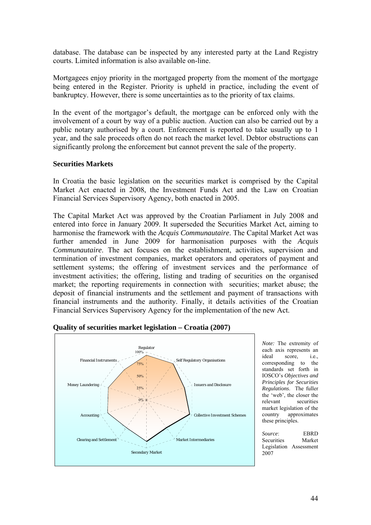database. The database can be inspected by any interested party at the Land Registry courts. Limited information is also available on-line.

Mortgagees enjoy priority in the mortgaged property from the moment of the mortgage being entered in the Register. Priority is upheld in practice, including the event of bankruptcy. However, there is some uncertainties as to the priority of tax claims.

In the event of the mortgagor's default, the mortgage can be enforced only with the involvement of a court by way of a public auction. Auction can also be carried out by a public notary authorised by a court. Enforcement is reported to take usually up to 1 year, and the sale proceeds often do not reach the market level. Debtor obstructions can significantly prolong the enforcement but cannot prevent the sale of the property.

### **Securities Markets**

In Croatia the basic legislation on the securities market is comprised by the Capital Market Act enacted in 2008, the Investment Funds Act and the Law on Croatian Financial Services Supervisory Agency, both enacted in 2005.

The Capital Market Act was approved by the Croatian Parliament in July 2008 and entered into force in January 2009. It superseded the Securities Market Act, aiming to harmonise the framework with the *Acquis Communautaire*. The Capital Market Act was further amended in June 2009 for harmonisation purposes with the *Acquis Communautaire*. The act focuses on the establishment, activities, supervision and termination of investment companies, market operators and operators of payment and settlement systems; the offering of investment services and the performance of investment activities; the offering, listing and trading of securities on the organised market; the reporting requirements in connection with securities; market abuse; the deposit of financial instruments and the settlement and payment of transactions with financial instruments and the authority. Finally, it details activities of the Croatian Financial Services Supervisory Agency for the implementation of the new Act.



#### **Quality of securities market legislation – Croatia (2007)**

*Note:* The extremity of each axis represents an ideal score, i.e., corresponding to the standards set forth in IOSCO's *Objectives and Principles for Securities Regulations*. The fuller the 'web', the closer the relevant securities market legislation of the country approximates these principles.

*Source*: EBRD Securities Market Legislation Assessment 2007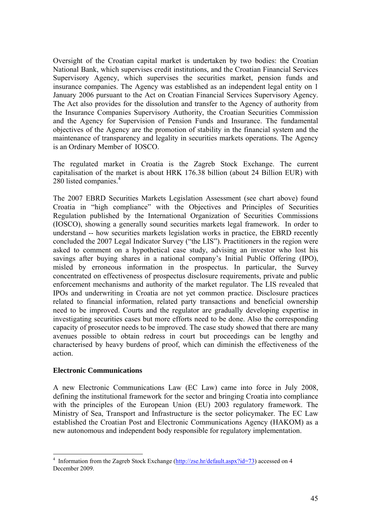Oversight of the Croatian capital market is undertaken by two bodies: the Croatian National Bank, which supervises credit institutions, and the Croatian Financial Services Supervisory Agency, which supervises the securities market, pension funds and insurance companies. The Agency was established as an independent legal entity on 1 January 2006 pursuant to the Act on Croatian Financial Services Supervisory Agency. The Act also provides for the dissolution and transfer to the Agency of authority from the Insurance Companies Supervisory Authority, the Croatian Securities Commission and the Agency for Supervision of Pension Funds and Insurance. The fundamental objectives of the Agency are the promotion of stability in the financial system and the maintenance of transparency and legality in securities markets operations. The Agency is an Ordinary Member of IOSCO.

The regulated market in Croatia is the Zagreb Stock Exchange. The current capitalisation of the market is about HRK 176.38 billion (about 24 Billion EUR) with 280 listed companies.<sup>4</sup>

The 2007 EBRD Securities Markets Legislation Assessment (see chart above) found Croatia in "high compliance" with the Objectives and Principles of Securities Regulation published by the International Organization of Securities Commissions (IOSCO), showing a generally sound securities markets legal framework. In order to understand -- how securities markets legislation works in practice, the EBRD recently concluded the 2007 Legal Indicator Survey ("the LIS"). Practitioners in the region were asked to comment on a hypothetical case study, advising an investor who lost his savings after buying shares in a national company's Initial Public Offering (IPO), misled by erroneous information in the prospectus. In particular, the Survey concentrated on effectiveness of prospectus disclosure requirements, private and public enforcement mechanisms and authority of the market regulator. The LIS revealed that IPOs and underwriting in Croatia are not yet common practice. Disclosure practices related to financial information, related party transactions and beneficial ownership need to be improved. Courts and the regulator are gradually developing expertise in investigating securities cases but more efforts need to be done. Also the corresponding capacity of prosecutor needs to be improved. The case study showed that there are many avenues possible to obtain redress in court but proceedings can be lengthy and characterised by heavy burdens of proof, which can diminish the effectiveness of the action.

### **Electronic Communications**

 $\overline{a}$ 

A new Electronic Communications Law (EC Law) came into force in July 2008, defining the institutional framework for the sector and bringing Croatia into compliance with the principles of the European Union (EU) 2003 regulatory framework. The Ministry of Sea, Transport and Infrastructure is the sector policymaker. The EC Law established the Croatian Post and Electronic Communications Agency (HAKOM) as a new autonomous and independent body responsible for regulatory implementation.

<sup>&</sup>lt;sup>4</sup> Information from the Zagreb Stock Exchange (http://zse.hr/default.aspx?id=73) accessed on 4 December 2009.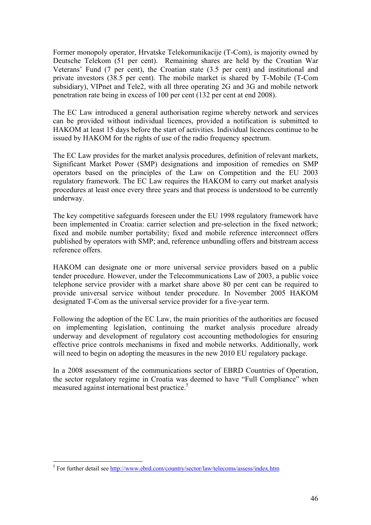Former monopoly operator, Hrvatske Telekomunikacije (T-Com), is majority owned by Deutsche Telekom (51 per cent). Remaining shares are held by the Croatian War Veterans' Fund (7 per cent), the Croatian state (3.5 per cent) and institutional and private investors (38.5 per cent). The mobile market is shared by T-Mobile (T-Com subsidiary), VIPnet and Tele2, with all three operating 2G and 3G and mobile network penetration rate being in excess of 100 per cent (132 per cent at end 2008).

The EC Law introduced a general authorisation regime whereby network and services can be provided without individual licences, provided a notification is submitted to HAKOM at least 15 days before the start of activities. Individual licences continue to be issued by HAKOM for the rights of use of the radio frequency spectrum.

The EC Law provides for the market analysis procedures, definition of relevant markets, Significant Market Power (SMP) designations and imposition of remedies on SMP operators based on the principles of the Law on Competition and the EU 2003 regulatory framework. The EC Law requires the HAKOM to carry out market analysis procedures at least once every three years and that process is understood to be currently underway.

The key competitive safeguards foreseen under the EU 1998 regulatory framework have been implemented in Croatia: carrier selection and pre-selection in the fixed network; fixed and mobile number portability; fixed and mobile reference interconnect offers published by operators with SMP; and, reference unbundling offers and bitstream access reference offers.

HAKOM can designate one or more universal service providers based on a public tender procedure. However, under the Telecommunications Law of 2003, a public voice telephone service provider with a market share above 80 per cent can be required to provide universal service without tender procedure. In November 2005 HAKOM designated T-Com as the universal service provider for a five-year term.

Following the adoption of the EC Law, the main priorities of the authorities are focused on implementing legislation, continuing the market analysis procedure already underway and development of regulatory cost accounting methodologies for ensuring effective price controls mechanisms in fixed and mobile networks. Additionally, work will need to begin on adopting the measures in the new 2010 EU regulatory package.

In a 2008 assessment of the communications sector of EBRD Countries of Operation, the sector regulatory regime in Croatia was deemed to have "Full Compliance" when measured against international best practice.<sup>5</sup>

<sup>&</sup>lt;sup>5</sup> For further detail see <u>http://www.ebrd.com/country/sector/law/telecoms/assess/index.htm</u>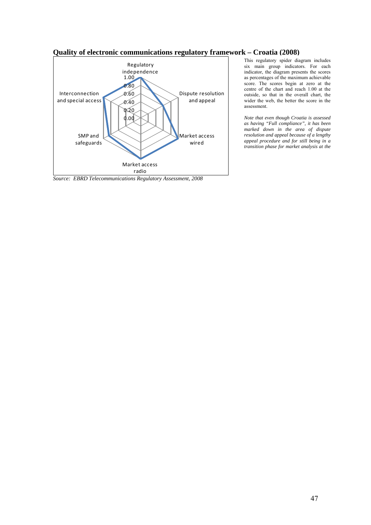#### **Quality of electronic communications regulatory framework – Croatia (2008)**



*Source: EBRD Telecommunications Regulatory Assessment, 2008* 

This regulatory spider diagram includes six main group indicators. For each indicator, the diagram presents the scores as percentages of the maximum achievable score. The scores begin at zero at the centre of the chart and reach 1.00 at the outside, so that in the overall chart, the wider the web, the better the score in the assessment.

*Note that even though Croatia is assessed as having "Full compliance", it has been marked down in the area of dispute resolution and appeal because of a lengthy appeal procedure and for still being in a transition phase for market analysis at the*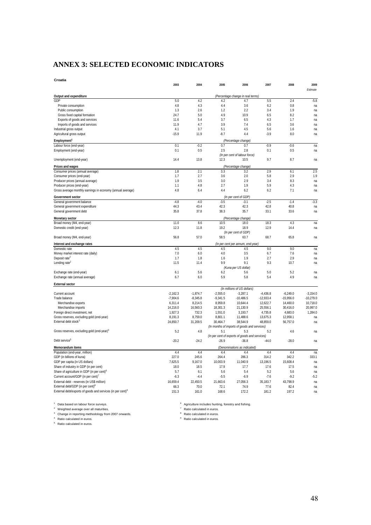# **ANNEX 3: SELECTED ECONOMIC INDICATORS**

| Croatia                                                                |                       |                       |                       |                                                |                         |                         |                         |
|------------------------------------------------------------------------|-----------------------|-----------------------|-----------------------|------------------------------------------------|-------------------------|-------------------------|-------------------------|
|                                                                        | 2003                  | 2004                  | 2005                  | 2006                                           | 2007                    | 2008                    | 2009<br>Estimate        |
|                                                                        |                       |                       |                       |                                                |                         |                         |                         |
| Output and expenditure<br>GDP                                          | 5.0                   | 4.2                   | 4.2                   | (Percentage change in real terms)<br>4.7       | 5.5                     | 2.4                     | $-5.8$                  |
| Private consumption                                                    | 4.8                   | 4.3                   | 4.4                   | 3.6                                            | 6.2                     | 0.8                     | na                      |
| Public consumption                                                     | 1.3                   | 2.6                   | 1.2                   | 2.2                                            | 3.4                     | 1.9                     | na                      |
| Gross fixed capital formation                                          | 24.7                  | 5.0                   | 4.9                   | 10.9                                           | 6.5                     | 8.2                     | na                      |
| Exports of goods and services                                          | 11.6                  | 5.4                   | 3.7                   | 6.5                                            | 4.3                     | 1.7                     | na                      |
| Imports of goods and services                                          | 11.9                  | 4.7                   | 3.9                   | 7.4                                            | 6.5                     | 3.6                     | na                      |
| Industrial gross output                                                | 4.1                   | 3.7                   | 5.1                   | 4.5                                            | 5.6                     | 1.6                     | na                      |
| Agricultural gross output                                              | $-15.9$               | 11.9                  | $-8.7$                | 4.4                                            | $-3.9$                  | 8.0                     | na                      |
| Employment <sup>1</sup>                                                |                       |                       |                       | (Percentage change)                            |                         |                         |                         |
| Labour force (end-year)                                                | 0.1                   | $-0.2$                | 0.7                   | 0.7                                            | $-0.9$                  | $-0.6$                  | na                      |
| Employment (end-year)                                                  | 0.1                   | 0.5                   | 2.5                   | 2.8                                            | 0.1                     | 0.5                     | na                      |
|                                                                        |                       |                       |                       | (In per cent of labour force)                  |                         |                         |                         |
| Unemployment (end-year)                                                | 14.4                  | 13.8                  | 12.3                  | 10.5                                           | 9.7                     | 8.7                     | na                      |
| Prices and wages                                                       |                       |                       |                       | (Percentage change)                            |                         |                         |                         |
| Consumer prices (annual average)                                       | 1.8                   | 2.1                   | 3.3                   | 3.2                                            | 2.9                     | 6.1                     | 2.5                     |
| Consumer prices (end-year)                                             | 1.7                   | 2.7                   | 3.6                   | 2.0                                            | 5.8                     | 2.9                     | 1.9                     |
| Producer prices (annual average)<br>Producer prices (end-year)         | 1.9<br>1.1            | 3.5<br>4.8            | 3.0<br>2.7            | 2.9<br>1.9                                     | 3.4<br>5.9              | 8.3<br>4.3              | na<br>na                |
| Gross average monthly earnings in economy (annual average)             | 4.8                   | 6.4                   | 4.4                   | 6.2                                            | 6.2                     | 7.1                     | na                      |
|                                                                        |                       |                       |                       |                                                |                         |                         |                         |
| Government sector                                                      |                       |                       |                       | (In per cent of GDP)                           |                         |                         |                         |
| General government balance                                             | $-4.8$                | $-4.0$                | $-3.5$                | $-3.1$                                         | $-2.5$                  | $-1.4$                  | $-3.3$                  |
| General government expenditure<br>General government debt              | 44.3<br>35.8          | 43.4<br>37.8          | 42.3<br>38.3          | 42.3<br>35.7                                   | 42.8<br>33.1            | 40.8<br>33.6            | na<br>na                |
|                                                                        |                       |                       |                       |                                                |                         |                         |                         |
| Monetary sector                                                        |                       |                       |                       | (Percentage change)                            |                         |                         |                         |
| Broad money (M4, end-year)<br>Domestic credit (end-year)               | 11.0<br>12.3          | 8.6<br>11.8           | 10.5<br>19.2          | 18.0<br>18.9                                   | 18.3<br>12.9            | 4.3<br>14.4             | na<br>na                |
|                                                                        |                       |                       |                       | (In per cent of GDP)                           |                         |                         |                         |
| Broad money (M4, end-year)                                             | 56.8                  | 57.0                  | 58.5                  | 63.7                                           | 68.7                    | 65.8                    | na                      |
| Interest and exchange rates                                            |                       |                       |                       | (In per cent per annum, end-year)              |                         |                         |                         |
| Domestic rate                                                          | 4.5                   | 4.5                   | 4.5                   | 4.5                                            | 9.0                     | 9.0                     | na                      |
| Money market interest rate (daily)                                     | 7.0                   | 6.0                   | 4.0                   | 3.5                                            | 6.7                     | 7.6                     | na                      |
| Deposit rate <sup>2</sup>                                              | 1.7                   | 1.8                   | 1.6                   | 1.9                                            | 2.7                     | 2.9                     | na                      |
| Lending rate <sup>2</sup>                                              | 11.5                  | 11.4                  | 9.9                   | 9.1                                            | 9.3                     | 10.7                    | na                      |
|                                                                        |                       |                       |                       | (Kuna per US dollar)                           |                         |                         |                         |
| Exchange rate (end-year)                                               | 6.1                   | 5.6                   | 6.2                   | 5.6                                            | 5.0                     | 5.2                     | na                      |
| Exchange rate (annual average)                                         | 6.7                   | 6.0                   | 5.9                   | 5.8                                            | 5.4                     | 4.9                     | na                      |
| <b>External sector</b>                                                 |                       |                       |                       |                                                |                         |                         |                         |
|                                                                        |                       |                       |                       | (In millions of US dollars)                    |                         |                         |                         |
| Current account                                                        | $-2,162.3$            | $-1,874.7$            | $-2,555.0$            | $-3,287.1$                                     | $-4,436.8$              | $-6,249.0$              | $-3,154.0$              |
| Trade balance                                                          | $-7,904.6$<br>6,311.4 | $-8,345.8$<br>8,214.5 | $-9,341.5$<br>8,959.8 | $-10,486.5$<br>10,644.4                        | $-12,933.4$<br>12,622.7 | $-15,956.0$<br>14,460.0 | $-10,279.0$<br>10.718.0 |
| Merchandise exports<br>Merchandise imports                             | 14,216.0              | 16,560.3              | 18,301.3              | 21,130.9                                       | 25,556.1                | 30,416.0                | 20,997.0                |
| Foreign direct investment, net                                         | 1,927.3               | 732.3                 | 1,551.0               | 3,193.7                                        | 4,735.8                 | 4,683.0                 | 1,284.0                 |
| Gross reserves, excluding gold (end-year)                              | 8,191.3               | 8,759.0               | 8,801.1               | 11,488.6                                       | 13,675.3                | 12,958.1                | na                      |
| External debt stock <sup>3</sup>                                       | 24,850.7              | 31,209.5              | 30,464.7              | 38,544.9                                       | 48,859.0                | 56,757.0                | na                      |
|                                                                        |                       |                       |                       | (In months of imports of goods and services)   |                         |                         |                         |
| Gross reserves, excluding gold (end-year) <sup>4</sup>                 | 5.2                   | 4.8                   | 5.1                   | 5.3                                            | 5.2                     | 4.6                     | na                      |
|                                                                        |                       |                       |                       | (In per cent of exports of goods and services) |                         |                         |                         |
| Debt service <sup>5</sup>                                              | $-20.2$               | $-24.2$               | $-26.9$               | $-36.8$                                        | $-44.0$                 | $-28.0$                 | na                      |
| Memorandum items                                                       |                       |                       |                       | (Denominations as indicated)                   |                         |                         |                         |
| Population (end-year, million)                                         | 4.4                   | 4.4                   | 4.4                   | 4.4                                            | 4.4                     | 4.4                     | na                      |
| GDP (in billions of kuna)                                              | 227.0                 | 245.6                 | 264.4                 | 286.3                                          | 314.2                   | 342.2                   | 333.1                   |
| GDP per capita (in US dollars)                                         | 7.625.5               | 9.167.0               | 10.003.9              | 11.040.9                                       | 13.196.5                | 15.608.4                | na                      |
| Share of industry in GDP (in per cent)                                 | 18.0                  | 18.5                  | 17.9                  | 17.7                                           | 17.6                    | 17.5                    | na                      |
| Share of agriculture in GDP (in per cent) <sup>6</sup>                 | 5.7                   | 6.1                   | 5.6                   | 5.4                                            | 5.2                     | 5.6                     | na                      |
| Current account/GDP (in per cent)'                                     | $-6.3$                | $-4.4$                | $-5.5$                | $-6.9$                                         | $-7.6$                  | $-9.2$                  | $-5.2$                  |
| External debt - reserves (in US\$ million)                             | 16,659.4              | 22,450.5              | 21,663.6              | 27,056.3                                       | 35,183.7                | 43,798.9                | na                      |
| External debt/GDP (in per cent) <sup>8</sup>                           | 66.3                  | 70.0                  | 72.1                  | 74.9                                           | 77.6                    | 82.4                    | na                      |
| External debt/exports of goods and services (in per cent) <sup>9</sup> | 151.3                 | 161.0                 | 168.6                 | 172.2                                          | 181.2                   | 197.2                   | na                      |
|                                                                        |                       |                       |                       |                                                |                         |                         |                         |

1 Data based on labour force surveys. 2 Weighted average over all maturities. 3 Change in reporting methodology from 2007 onwards.

4 Ratio calculated in euros. 5 Ratio calculated in euros.

<sup>6</sup> Agriculture includes hunting, forestry and fishing.<br><sup>7</sup> Ratio calculated in euros.<br><sup>8</sup> Ratio calculated in euros.<br><sup>9</sup> Ratio calculated in euros.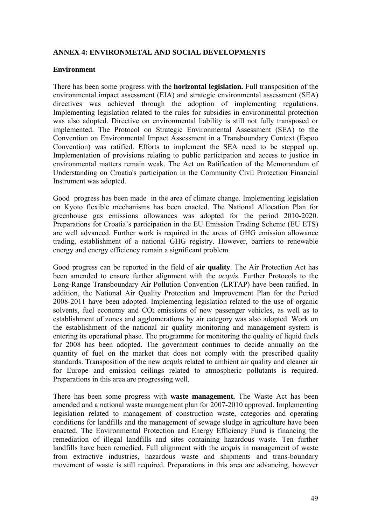### **ANNEX 4: ENVIRONMETAL AND SOCIAL DEVELOPMENTS**

### **Environment**

There has been some progress with the **horizontal legislation.** Full transposition of the environmental impact assessment (EIA) and strategic environmental assessment (SEA) directives was achieved through the adoption of implementing regulations. Implementing legislation related to the rules for subsidies in environmental protection was also adopted. Directive on environmental liability is still not fully transposed or implemented. The Protocol on Strategic Environmental Assessment (SEA) to the Convention on Environmental Impact Assessment in a Transboundary Context (Espoo Convention) was ratified. Efforts to implement the SEA need to be stepped up. Implementation of provisions relating to public participation and access to justice in environmental matters remain weak. The Act on Ratification of the Memorandum of Understanding on Croatia's participation in the Community Civil Protection Financial Instrument was adopted.

Good progress has been made in the area of climate change. Implementing legislation on Kyoto flexible mechanisms has been enacted. The National Allocation Plan for greenhouse gas emissions allowances was adopted for the period 2010-2020. Preparations for Croatia's participation in the EU Emission Trading Scheme (EU ETS) are well advanced. Further work is required in the areas of GHG emission allowance trading, establishment of a national GHG registry. However, barriers to renewable energy and energy efficiency remain a significant problem.

Good progress can be reported in the field of **air quality**. The Air Protection Act has been amended to ensure further alignment with the *acquis*. Further Protocols to the Long-Range Transboundary Air Pollution Convention (LRTAP) have been ratified. In addition, the National Air Quality Protection and Improvement Plan for the Period 2008-2011 have been adopted. Implementing legislation related to the use of organic solvents, fuel economy and CO<sub>2</sub> emissions of new passenger vehicles, as well as to establishment of zones and agglomerations by air category was also adopted. Work on the establishment of the national air quality monitoring and management system is entering its operational phase. The programme for monitoring the quality of liquid fuels for 2008 has been adopted. The government continues to decide annually on the quantity of fuel on the market that does not comply with the prescribed quality standards. Transposition of the new *acquis* related to ambient air quality and cleaner air for Europe and emission ceilings related to atmospheric pollutants is required. Preparations in this area are progressing well.

There has been some progress with **waste management.** The Waste Act has been amended and a national waste management plan for 2007-2010 approved. Implementing legislation related to management of construction waste, categories and operating conditions for landfills and the management of sewage sludge in agriculture have been enacted. The Environmental Protection and Energy Efficiency Fund is financing the remediation of illegal landfills and sites containing hazardous waste. Ten further landfills have been remedied. Full alignment with the *acquis* in management of waste from extractive industries, hazardous waste and shipments and trans-boundary movement of waste is still required. Preparations in this area are advancing, however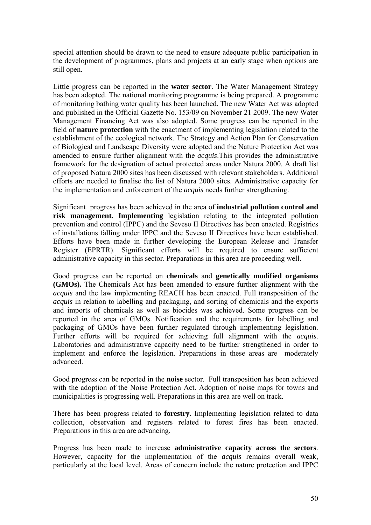special attention should be drawn to the need to ensure adequate public participation in the development of programmes, plans and projects at an early stage when options are still open.

Little progress can be reported in the **water sector**. The Water Management Strategy has been adopted. The national monitoring programme is being prepared. A programme of monitoring bathing water quality has been launched. The new Water Act was adopted and published in the Official Gazette No. 153/09 on November 21 2009. The new Water Management Financing Act was also adopted. Some progress can be reported in the field of **nature protection** with the enactment of implementing legislation related to the establishment of the ecological network. The Strategy and Action Plan for Conservation of Biological and Landscape Diversity were adopted and the Nature Protection Act was amended to ensure further alignment with the *acquis*.This provides the administrative framework for the designation of actual protected areas under Natura 2000. A draft list of proposed Natura 2000 sites has been discussed with relevant stakeholders. Additional efforts are needed to finalise the list of Natura 2000 sites. Administrative capacity for the implementation and enforcement of the *acquis* needs further strengthening.

Significant progress has been achieved in the area of **industrial pollution control and risk management. Implementing** legislation relating to the integrated pollution prevention and control (IPPC) and the Seveso II Directives has been enacted. Registries of installations falling under IPPC and the Seveso II Directives have been established. Efforts have been made in further developing the European Release and Transfer Register (EPRTR). Significant efforts will be required to ensure sufficient administrative capacity in this sector. Preparations in this area are proceeding well.

Good progress can be reported on **chemicals** and **genetically modified organisms (GMOs).** The Chemicals Act has been amended to ensure further alignment with the *acquis* and the law implementing REACH has been enacted. Full transposition of the *acquis* in relation to labelling and packaging, and sorting of chemicals and the exports and imports of chemicals as well as biocides was achieved. Some progress can be reported in the area of GMOs. Notification and the requirements for labelling and packaging of GMOs have been further regulated through implementing legislation. Further efforts will be required for achieving full alignment with the *acquis*. Laboratories and administrative capacity need to be further strengthened in order to implement and enforce the legislation. Preparations in these areas are moderately advanced.

Good progress can be reported in the **noise** sector. Full transposition has been achieved with the adoption of the Noise Protection Act. Adoption of noise maps for towns and municipalities is progressing well. Preparations in this area are well on track.

There has been progress related to **forestry.** Implementing legislation related to data collection, observation and registers related to forest fires has been enacted. Preparations in this area are advancing.

Progress has been made to increase **administrative capacity across the sectors**. However, capacity for the implementation of the *acquis* remains overall weak, particularly at the local level. Areas of concern include the nature protection and IPPC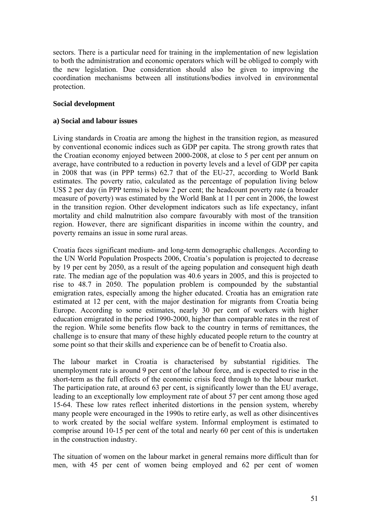sectors. There is a particular need for training in the implementation of new legislation to both the administration and economic operators which will be obliged to comply with the new legislation. Due consideration should also be given to improving the coordination mechanisms between all institutions/bodies involved in environmental protection.

# **Social development**

# **a) Social and labour issues**

Living standards in Croatia are among the highest in the transition region, as measured by conventional economic indices such as GDP per capita. The strong growth rates that the Croatian economy enjoyed between 2000-2008, at close to 5 per cent per annum on average, have contributed to a reduction in poverty levels and a level of GDP per capita in 2008 that was (in PPP terms) 62.7 that of the EU-27, according to World Bank estimates. The poverty ratio, calculated as the percentage of population living below US\$ 2 per day (in PPP terms) is below 2 per cent; the headcount poverty rate (a broader measure of poverty) was estimated by the World Bank at 11 per cent in 2006, the lowest in the transition region. Other development indicators such as life expectancy, infant mortality and child malnutrition also compare favourably with most of the transition region. However, there are significant disparities in income within the country, and poverty remains an issue in some rural areas.

Croatia faces significant medium- and long-term demographic challenges. According to the UN World Population Prospects 2006, Croatia's population is projected to decrease by 19 per cent by 2050, as a result of the ageing population and consequent high death rate. The median age of the population was 40.6 years in 2005, and this is projected to rise to 48.7 in 2050. The population problem is compounded by the substantial emigration rates, especially among the higher educated. Croatia has an emigration rate estimated at 12 per cent, with the major destination for migrants from Croatia being Europe. According to some estimates, nearly 30 per cent of workers with higher education emigrated in the period 1990-2000, higher than comparable rates in the rest of the region. While some benefits flow back to the country in terms of remittances, the challenge is to ensure that many of these highly educated people return to the country at some point so that their skills and experience can be of benefit to Croatia also.

The labour market in Croatia is characterised by substantial rigidities. The unemployment rate is around 9 per cent of the labour force, and is expected to rise in the short-term as the full effects of the economic crisis feed through to the labour market. The participation rate, at around 63 per cent, is significantly lower than the EU average, leading to an exceptionally low employment rate of about 57 per cent among those aged 15-64. These low rates reflect inherited distortions in the pension system, whereby many people were encouraged in the 1990s to retire early, as well as other disincentives to work created by the social welfare system. Informal employment is estimated to comprise around 10-15 per cent of the total and nearly 60 per cent of this is undertaken in the construction industry.

The situation of women on the labour market in general remains more difficult than for men, with 45 per cent of women being employed and 62 per cent of women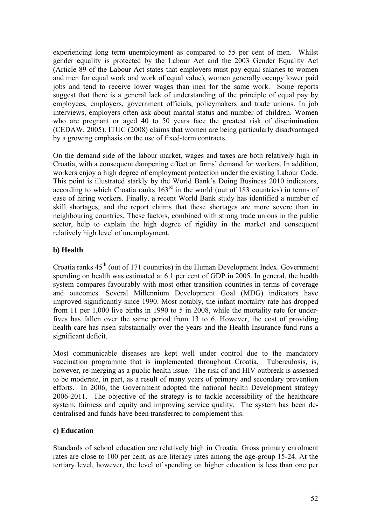experiencing long term unemployment as compared to 55 per cent of men. Whilst gender equality is protected by the Labour Act and the 2003 Gender Equality Act (Article 89 of the Labour Act states that employers must pay equal salaries to women and men for equal work and work of equal value), women generally occupy lower paid jobs and tend to receive lower wages than men for the same work. Some reports suggest that there is a general lack of understanding of the principle of equal pay by employees, employers, government officials, policymakers and trade unions. In job interviews, employers often ask about marital status and number of children. Women who are pregnant or aged 40 to 50 years face the greatest risk of discrimination (CEDAW, 2005). ITUC (2008) claims that women are being particularly disadvantaged by a growing emphasis on the use of fixed-term contracts.

On the demand side of the labour market, wages and taxes are both relatively high in Croatia, with a consequent dampening effect on firms' demand for workers. In addition, workers enjoy a high degree of employment protection under the existing Labour Code. This point is illustrated starkly by the World Bank's Doing Business 2010 indicators, according to which Croatia ranks  $163^{\text{rd}}$  in the world (out of 183 countries) in terms of ease of hiring workers. Finally, a recent World Bank study has identified a number of skill shortages, and the report claims that these shortages are more severe than in neighbouring countries. These factors, combined with strong trade unions in the public sector, help to explain the high degree of rigidity in the market and consequent relatively high level of unemployment.

# **b) Health**

Croatia ranks  $45<sup>th</sup>$  (out of 171 countries) in the Human Development Index. Government spending on health was estimated at 6.1 per cent of GDP in 2005. In general, the health system compares favourably with most other transition countries in terms of coverage and outcomes. Several Millennium Development Goal (MDG) indicators have improved significantly since 1990. Most notably, the infant mortality rate has dropped from 11 per 1,000 live births in 1990 to 5 in 2008, while the mortality rate for underfives has fallen over the same period from 13 to 6. However, the cost of providing health care has risen substantially over the years and the Health Insurance fund runs a significant deficit.

Most communicable diseases are kept well under control due to the mandatory vaccination programme that is implemented throughout Croatia. Tuberculosis, is, however, re-merging as a public health issue. The risk of and HIV outbreak is assessed to be moderate, in part, as a result of many years of primary and secondary prevention efforts. In 2006, the Government adopted the national health Development strategy 2006-2011. The objective of the strategy is to tackle accessibility of the healthcare system, fairness and equity and improving service quality. The system has been decentralised and funds have been transferred to complement this.

# **c) Education**

Standards of school education are relatively high in Croatia. Gross primary enrolment rates are close to 100 per cent, as are literacy rates among the age-group 15-24. At the tertiary level, however, the level of spending on higher education is less than one per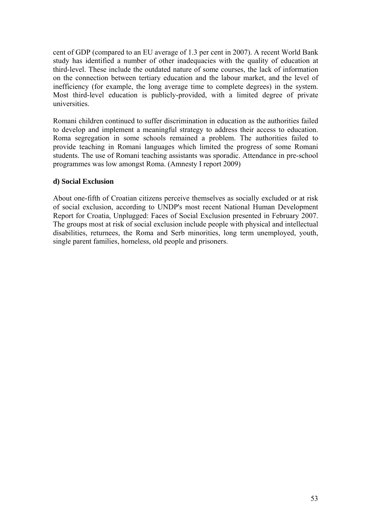cent of GDP (compared to an EU average of 1.3 per cent in 2007). A recent World Bank study has identified a number of other inadequacies with the quality of education at third-level. These include the outdated nature of some courses, the lack of information on the connection between tertiary education and the labour market, and the level of inefficiency (for example, the long average time to complete degrees) in the system. Most third-level education is publicly-provided, with a limited degree of private universities.

Romani children continued to suffer discrimination in education as the authorities failed to develop and implement a meaningful strategy to address their access to education. Roma segregation in some schools remained a problem. The authorities failed to provide teaching in Romani languages which limited the progress of some Romani students. The use of Romani teaching assistants was sporadic. Attendance in pre-school programmes was low amongst Roma. (Amnesty I report 2009)

# **d) Social Exclusion**

About one-fifth of Croatian citizens perceive themselves as socially excluded or at risk of social exclusion, according to UNDP's most recent National Human Development Report for Croatia, Unplugged: Faces of Social Exclusion presented in February 2007. The groups most at risk of social exclusion include people with physical and intellectual disabilities, returnees, the Roma and Serb minorities, long term unemployed, youth, single parent families, homeless, old people and prisoners.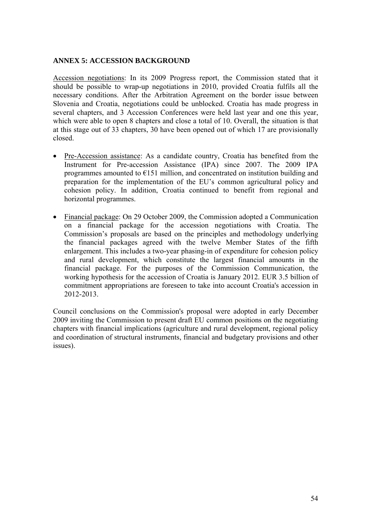### **ANNEX 5: ACCESSION BACKGROUND**

Accession negotiations: In its 2009 Progress report, the Commission stated that it should be possible to wrap-up negotiations in 2010, provided Croatia fulfils all the necessary conditions. After the Arbitration Agreement on the border issue between Slovenia and Croatia, negotiations could be unblocked. Croatia has made progress in several chapters, and 3 Accession Conferences were held last year and one this year, which were able to open 8 chapters and close a total of 10. Overall, the situation is that at this stage out of 33 chapters, 30 have been opened out of which 17 are provisionally closed.

- Pre-Accession assistance: As a candidate country, Croatia has benefited from the Instrument for Pre-accession Assistance (IPA) since 2007. The 2009 IPA programmes amounted to  $E$ 151 million, and concentrated on institution building and preparation for the implementation of the EU's common agricultural policy and cohesion policy. In addition, Croatia continued to benefit from regional and horizontal programmes.
- Financial package: On 29 October 2009, the Commission adopted a Communication on a financial package for the accession negotiations with Croatia. The Commission's proposals are based on the principles and methodology underlying the financial packages agreed with the twelve Member States of the fifth enlargement. This includes a two-year phasing-in of expenditure for cohesion policy and rural development, which constitute the largest financial amounts in the financial package. For the purposes of the Commission Communication, the working hypothesis for the accession of Croatia is January 2012. EUR 3.5 billion of commitment appropriations are foreseen to take into account Croatia's accession in 2012-2013.

Council conclusions on the Commission's proposal were adopted in early December 2009 inviting the Commission to present draft EU common positions on the negotiating chapters with financial implications (agriculture and rural development, regional policy and coordination of structural instruments, financial and budgetary provisions and other issues).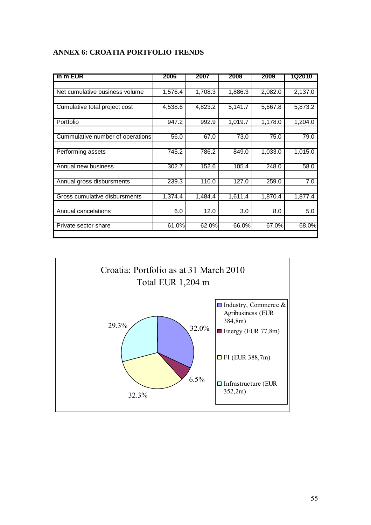| in m EUR                         | 2006     | 2007    | 2008    | 2009    | 1Q2010  |
|----------------------------------|----------|---------|---------|---------|---------|
|                                  |          |         |         |         |         |
| Net cumulative business volume   | 1,576.4  | 1,708.3 | 1,886.3 | 2,082.0 | 2,137.0 |
|                                  |          |         |         |         |         |
| Cumulative total project cost    | 4,538.6  | 4,823.2 | 5,141.7 | 5,667.8 | 5,873.2 |
| Portfolio                        | 947.2    | 992.9   | 1,019.7 | 1,178.0 | 1,204.0 |
|                                  |          |         |         |         |         |
| Cummulative number of operations | 56.0     | 67.0    | 73.0    | 75.0    | 79.0    |
|                                  |          |         |         |         |         |
| Performing assets                | 745.2    | 786.2   | 849.0   | 1,033.0 | 1,015.0 |
|                                  |          |         |         |         |         |
| Annual new business              | 302.7    | 152.6   | 105.4   | 248.0   | 58.0    |
| Annual gross disbursments        | 239.3    | 110.0   | 127.0   | 259.0   | 7.0     |
| Gross cumulative disbursments    | 1,374.4  | 1,484.4 | 1,611.4 | 1,870.4 | 1,877.4 |
|                                  |          |         |         |         |         |
| Annual cancelations              | 6.0      | 12.0    | 3.0     | 8.0     | 5.0     |
| Private sector share             | $61.0\%$ | 62.0%   | 66.0%   | 67.0%   | 68.0%   |
|                                  |          |         |         |         |         |

# **ANNEX 6: CROATIA PORTFOLIO TRENDS**

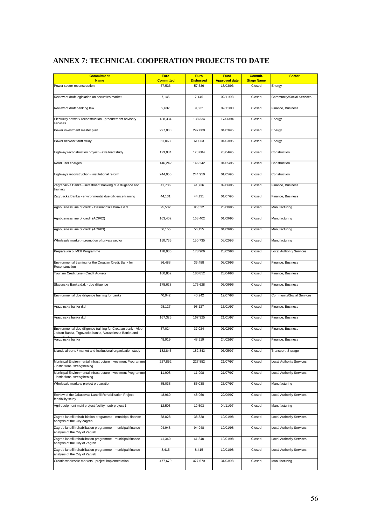# **ANNEX 7: TECHNICAL COOPERATION PROJECTS TO DATE**

| <b>Commitment</b><br><b>Name</b>                                                                                      | <b>Euro</b><br><b>Committed</b> | <b>Euro</b><br><b>Disbursed</b> | <b>Fund</b><br><b>Approved date</b> | Commit.<br><b>Stage Name</b> | <b>Sector</b>                   |
|-----------------------------------------------------------------------------------------------------------------------|---------------------------------|---------------------------------|-------------------------------------|------------------------------|---------------------------------|
| Power sector reconstruction                                                                                           | 57,536                          | 57,536                          | 18/03/93                            | Closed                       | Energy                          |
| Review of draft legislation on securities market                                                                      | 7,145                           | 7,145                           | 02/11/93                            | Closed                       | Community/Social Services       |
| Review of draft banking law                                                                                           | 9,632                           | 9,632                           | 02/11/93                            | Closed                       | Finance, Business               |
| Electricity network reconstruction - procurement advisory<br>services                                                 | 138,334                         | 138,334                         | 17/06/94                            | Closed                       | Energy                          |
| Power investment master plan                                                                                          | 297,000                         | 297,000                         | 01/03/95                            | Closed                       | Energy                          |
| Power network tariff study                                                                                            | 61,063                          | 61,063                          | 01/03/95                            | Closed                       | Energy                          |
| Highway reconstruction project - axle load study                                                                      | 123,084                         | 123,084                         | 20/04/95                            | Closed                       | Construction                    |
| Road user charges                                                                                                     | 146,242                         | 146,242                         | 01/05/95                            | Closed                       | Construction                    |
| Highways reconstruction - institutional reform                                                                        | 244,950                         | 244,950                         | 01/05/95                            | Closed                       | Construction                    |
| Zagrebacka Banka - investment banking due diligence and<br>training                                                   | 41,736                          | 41,736                          | 09/06/95                            | Closed                       | Finance, Business               |
| Zagrbacka Banka - environmental due diligence training                                                                | 44,131                          | 44,131                          | 01/07/95                            | Closed                       | Finance, Business               |
| Agribusiness line of credit - Dalmatinska banka d.d.                                                                  | 95,532                          | 95,532                          | 25/08/95                            | Closed                       | Manufacturing                   |
| Agribusiness line of credit (ACR02)                                                                                   | 163,402                         | 163,402                         | 01/09/95                            | Closed                       | Manufacturing                   |
| Agribusiness line of credit (ACR03)                                                                                   | 56,155                          | 56,155                          | 01/09/95                            | Closed                       | Manufacturing                   |
| Wholesale market - promotion of private sector                                                                        | 150,735                         | 150,735                         | 08/02/96                            | Closed                       | Manufacturing                   |
| Preparation of MEII Programme                                                                                         | 178,906                         | 178,906                         | 28/02/96                            | Closed                       | Local Authority Services        |
| Environmental training for the Croatian Credit Bank for<br>Reconstruction                                             | 36,488                          | 36,488                          | 08/03/96                            | Closed                       | Finance, Business               |
| Tourism Credit Line - Credit Advisor                                                                                  | 180,852                         | 180,852                         | 23/04/96                            | Closed                       | Finance, Business               |
| Slavonska Banka d.d. - due diligence                                                                                  | 175,628                         | 175,628                         | 05/06/96                            | Closed                       | Finance, Business               |
| Environmental due diligence training for banks                                                                        | 40,942                          | 40,942                          | 19/07/96                            | Closed                       | Community/Social Services       |
| Vrazdinska banka d.d                                                                                                  | 98,127                          | 98,127                          | 15/01/97                            | Closed                       | Finance, Business               |
| Vrasdinska banka d.d                                                                                                  | 167,325                         | 167,325                         | 21/01/97                            | Closed                       | Finance, Business               |
| Environmental due diligence training for Croatian bank - Alpe<br>Jadran Banka, Trgovacka banka, Varazdinska Banka and | 37,024                          | 37,024                          | 01/02/97                            | Closed                       | Finance, Business               |
| Varzdinska banka                                                                                                      | 48,919                          | 48,919                          | 24/02/97                            | Closed                       | Finance, Business               |
| Islands airports / market and institutional organisation study                                                        | 182,843                         | 182,843                         | 06/05/97                            | Closed                       | Transport, Storage              |
| Municipal Environmental Infrastructure Investment Programme<br>institutional strengthening                            | 227,852                         | 227,852                         | 21/07/97                            | Closed                       | <b>Local Authority Services</b> |
| Municipal Environmental Infrastructure Investment Programme<br>institutional strengthening                            | 11,908                          | 11,908                          | 21/07/97                            | Closed                       | <b>Local Authority Services</b> |
| Wholesale markets project preparation                                                                                 | 85,038                          | 85,038                          | 25/07/97                            | Closed                       | Manufacturing                   |
| Review of the Jakusevac Landfill Rehabilitation Project -<br>feasibility study                                        | 48,960                          | 48,960                          | 22/09/97                            | Closed                       | <b>Local Authority Services</b> |
| Agri equipment multi project facility - sub-project 1                                                                 | 12,503                          | 12,503                          | 04/11/97                            | Closed                       | Manufacturing                   |
| Zagreb landfill rehabilitiation programme - municipal finance<br>analysis of the City Zagreb                          | 38,828                          | 38,828                          | 19/01/98                            | Closed                       | <b>Local Authority Services</b> |
| Zagreb landfill rehabilitation programme - municipal finance<br>analysis of the City of Zagreb                        | 94,948                          | 94,948                          | 19/01/98                            | Closed                       | <b>Local Authority Services</b> |
| Zagreb landfill rehabilitation programme - municipal finance<br>analysis of the City of Zagreb                        | 41,340                          | 41,340                          | 19/01/98                            | Closed                       | <b>Local Authority Services</b> |
| Zagreb landfill rehabilitation programme - municipal finance<br>analysis of the City of Zagreb                        | 8,415                           | 8,415                           | 19/01/98                            | Closed                       | <b>Local Authority Services</b> |
| Croatia wholesale markets - project implementation                                                                    | 477,670                         | 477,670                         | 31/03/98                            | Closed                       | Manufacturing                   |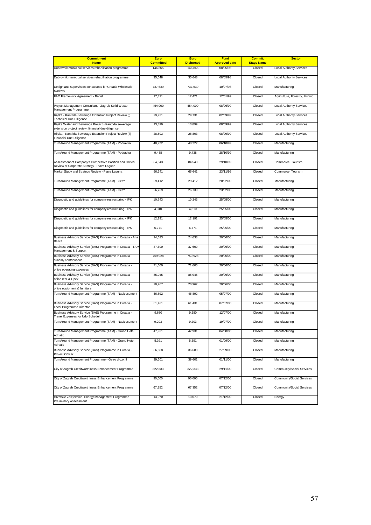| <b>Commitment</b><br><b>Name</b>                                                                           | <b>Euro</b><br><b>Committed</b> | <b>Euro</b><br><b>Disbursed</b> | <b>Fund</b><br><b>Approved date</b> | Commit.<br><b>Stage Name</b> | <b>Sector</b>                   |
|------------------------------------------------------------------------------------------------------------|---------------------------------|---------------------------------|-------------------------------------|------------------------------|---------------------------------|
| Dubrovnik municipal services rehabilitation programme                                                      | 146,865                         | 146,865                         | 08/05/98                            | Closed                       | <b>Local Authority Services</b> |
| Dubrovnik municipal services rehabilitation programme                                                      | 35,648                          | 35,648                          | 08/05/98                            | Closed                       | <b>Local Authority Services</b> |
| Design and supervision consultants for Croatia Wholesale                                                   | 737,639                         | 737,639                         | 10/07/98                            | Closed                       | Manufacturing                   |
| Markets<br>FAO Framework Agreement - Badel                                                                 | 17,421                          | 17,421                          | 17/01/99                            | Closed                       | Agriculture, Forestry, Fishing  |
| Project Management Consultant - Zagreb Solid Waste<br>Management Programme                                 | 454,000                         | 454,000                         | 08/06/99                            | Closed                       | <b>Local Authority Services</b> |
| Rijeka - Kantrida Sewerage Extension Project Review (i)<br><b>Technical Due Diligence</b>                  | 29,731                          | 29,731                          | 02/09/99                            | Closed                       | <b>Local Authority Services</b> |
| Rijeka Water and Sewerage Project - Kantrida sewerage<br>extension project review, financial due diligence | 13,899                          | 13,899                          | 08/09/99                            | Closed                       | <b>Local Authority Services</b> |
| Rijeka - Kantrida Sewerage Extension Project Review (ii)<br>Financial Due Diligence                        | 28,803                          | 28,803                          | 08/09/99                            | Closed                       | <b>Local Authority Services</b> |
| TurnAround Management Programme (TAM) - Podravka                                                           | 48,222                          | 48,222                          | 06/10/99                            | Closed                       | Manufacturing                   |
| TurnAround Management Programme (TAM) - Podravka                                                           | 9,438                           | 9,438                           | 28/10/99                            | Closed                       | Manufacturing                   |
| Assessment of Company's Competitive Position and Critical<br>Review of Corporate Strategy - Plava Laguna   | 84,543                          | 84,543                          | 29/10/99                            | Closed                       | Commerce, Tourism               |
| Market Study and Strategy Review - Plava Laguna                                                            | 66,641                          | 66,641                          | 23/11/99                            | Closed                       | Commerce, Tourism               |
| TurnAround Management Programme (TAM) - Getro                                                              | 29,412                          | 29,412                          | 20/02/00                            | Closed                       | Manufacturing                   |
| TurnAround Management Programme (TAM) - Getro                                                              | 26,739                          | 26,739                          | 23/02/00                            | Closed                       | Manufacturing                   |
| Diagnostic and guidelines for company restructuring - IPK                                                  | 10,243                          | 10,243                          | 25/05/00                            | Closed                       | Manufacturing                   |
| Diagnostic and guidelines for company restructuring - IPK                                                  | 4,310                           | 4,310                           | 25/05/00                            | Closed                       | Manufacturing                   |
| Diagnostic and guidelines for company restructuring - IPK                                                  | 12,191                          | 12,191                          | 25/05/00                            | Closed                       | Manufacturing                   |
| Diagnostic and guidelines for company restructuring - IPK                                                  | 6,771                           | 6,771                           | 25/05/00                            | Closed                       | Manufacturing                   |
| Business Advisory Service (BAS) Programme in Croatia - Ana<br><b>Betica</b>                                | 24,633                          | 24,633                          | 20/06/00                            | Closed                       | Manufacturing                   |
| Business Advisory Service (BAS) Programme in Croatia - TAM<br>Management & Support                         | 37,600                          | 37,600                          | 20/06/00                            | Closed                       | Manufacturing                   |
| Business Advisory Service (BAS) Programme in Croatia -<br>subsidy contributions                            | 759,928                         | 759,928                         | 20/06/00                            | Closed                       | Manufacturing                   |
| Business Advisory Service (BAS) Programme in Croatia -<br>office operating expenses                        | 71,600                          | 71,600                          | 20/06/00                            | Closed                       | Manufacturing                   |
| Business Advisory Service (BAS) Programme in Croatia -<br>office rent & Opex                               | 85,945                          | 85,945                          | 20/06/00                            | Closed                       | Manufacturing                   |
| Business Advisory Service (BAS) Programme in Croatia -<br>office equipment & furniture                     | 20,967                          | 20,967                          | 20/06/00                            | Closed                       | Manufacturing                   |
| TurnAround Management Programme (TAM) - Nasicecement                                                       | 46,892                          | 46,892                          | 05/07/00                            | Closed                       | Manufacturing                   |
| Business Advisory Service (BAS) Programme in Croatia -<br>Local Programme Director                         | 61,431                          | 61,431                          | 07/07/00                            | Closed                       | Manufacturing                   |
| Business Advisory Service (BAS) Programme in Croatia -<br>Travel Expenses for Udo Schedel                  | 9,680                           | 9,680                           | 12/07/00                            | Closed                       | Manufacturing                   |
| TurnAround Management Programme (TAM) - Nasicecement                                                       | 9,203                           | 9,203                           | 19/07/00                            | Closed                       | Manufacturing                   |
| TurnAround Management Programme (TAM) - Grand Hotel                                                        | 47,931                          | 47,931                          | 04/08/00                            | Closed                       | Manufacturing                   |
| TurnAround Management Programme (TAM) - Grand Hotel<br>Adriatic                                            | 5,391                           | 5,391                           | 01/09/00                            | Closed                       | Manufacturing                   |
| Business Advisory Service (BAS) Programme in Croatia -<br>Project Officer                                  | 36,688                          | 36,688                          | 27/09/00                            | Closed                       | Manufacturing                   |
| TurnAround Management Programme - Getro d.o.o. II                                                          | 39,601                          | 39,601                          | 01/11/00                            | Closed                       | Manufacturing                   |
| City of Zagreb Creditworthiness Enhancement Programme                                                      | 322,333                         | 322,333                         | 29/11/00                            | Closed                       | Community/Social Services       |
| City of Zagreb Creditworthiness Enhancement Programme                                                      | 90,000                          | 90,000                          | 07/12/00                            | Closed                       | Community/Social Services       |
| City of Zagreb Creditworthiness Enhancement Programme                                                      | 67,352                          | 67,352                          | 07/12/00                            | Closed                       | Community/Social Services       |
| Hrvatske Zelejeznice, Energy Management Programme -<br><b>Preliminary Assessment</b>                       | 13,070                          | 13,070                          | 21/12/00                            | Closed                       | Energy                          |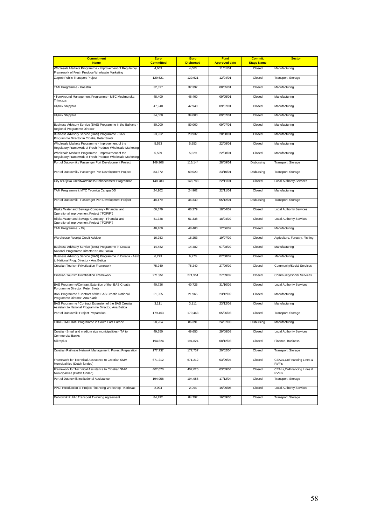| <b>Commitment</b>                                                                                             | Euro             | Euro             | <b>Fund</b>          | Commit.           | <b>Sector</b>                       |
|---------------------------------------------------------------------------------------------------------------|------------------|------------------|----------------------|-------------------|-------------------------------------|
| <b>Name</b>                                                                                                   | <b>Committed</b> | <b>Disbursed</b> | <b>Approved date</b> | <b>Stage Name</b> |                                     |
| Wholesale Markets Programme - Improvement of Regulatory<br>Framework of Fresh Produce Wholesale Marketing     | 4,663            | 4,663            | 11/01/01             | Closed            | Manufacturing                       |
| Zagreb Public Transport Project                                                                               | 129,621          | 129,621          | 12/04/01             | Closed            | Transport, Storage                  |
| TAM Programme - Koestlin                                                                                      | 32,397           | 32,397           | 08/05/01             | Closed            | Manufacturing                       |
| 4TurnAround Management Programme - MTC Medimurska<br>Trikotaza                                                | 48,400           | 48,400           | 09/05/01             | Closed            | Manufacturing                       |
| Uljanik Shipyard                                                                                              | 47,940           | 47,940           | 09/07/01             | Closed            | Manufacturing                       |
| Uljanik Shipyard                                                                                              | 34,000           | 34,000           | 09/07/01             | Closed            | Manufacturing                       |
| Business Advisory Service (BAS) Programme in the Balkans -<br>Regional Programme Director                     | 80,000           | 80,000           | 09/07/01             | Closed            | Manufacturing                       |
| Business Advisory Service (BAS) Programme - BAS<br>Programme Director in Croatia, Peter Siretz                | 23,932           | 23,932           | 20/08/01             | Closed            | Manufacturing                       |
| Wholesale Markets Programme - Improvement of the<br>Regulatory Framework of Fresh Produce Wholesale Marketing | 5,553            | 5,553            | 22/08/01             | Closed            | Manufacturing                       |
| Wholesale Markets Programme - Improvement of the<br>Regulatory Framework of Fresh Produce Wholesale Marketing | 5,529            | 5,529            | 22/08/01             | Closed            | Manufacturing                       |
| Port of Dubrovnik / Passenger Port Development Project                                                        | 149,908          | 116,144          | 28/09/01             | Disbursing        | Transport, Storage                  |
| Port of Dubrovnik / Passenger Port Development Project                                                        | 83,372           | 69,020           | 23/10/01             | Disbursing        | Transport, Storage                  |
| City of Rijeka Creditworthiness Enhancement Programme                                                         | 148,783          | 148,783          | 22/11/01             | Closed            | Local Authority Services            |
| TAM Programme i: MTC Tvornica Carapa DD                                                                       | 24,902           | 24,902           | 22/11/01             | Closed            | Manufacturing                       |
| Port of Dubrovnik - Passenger Port Development Project                                                        | 48,479           | 36,349           | 05/12/01             | Disbursing        | Transport, Storage                  |
| Rijeka Water and Sewage Company - Financial and<br>Operational Improvement Project ("FOPIP")                  | 66,379           | 66,379           | 18/04/02             | Closed            | Local Authority Services            |
| Rijeka Water and Sewage Company - Financial and<br>Operational Improvement Project ("FOPIP")                  | 51,338           | 51,338           | 18/04/02             | Closed            | Local Authority Services            |
| TAM Programme - Dilj                                                                                          | 48,400           | 48,400           | 12/06/02             | Closed            | Manufacturing                       |
| Warehouse Receipt Credit Adviser                                                                              | 16,253           | 16,253           | 19/07/02             | Closed            | Agriculture, Forestry, Fishing      |
| Business Advisory Service (BAS) Programme in Croatia -<br>National Programme Director Kruno Placko            | 14,482           | 14,482           | 07/08/02             | Closed            | Manufacturing                       |
| Business Advisory Service (BAS) Programme in Croatia - Asst<br>to National Prog. Director - Ana Betica        | 6,273            | 6,273            | 07/08/02             | Closed            | Manufacturing                       |
| Croatian Tourism Privatisation Framework                                                                      | 75,240           | 75,240           | 27/09/02             | Closed            | Community/Social Services           |
| Croatian Tourism Privatisation Framework                                                                      | 271,951          | 271,951          | 27/09/02             | Closed            | Community/Social Services           |
| BAS Programme/Contract Extention of the BAS Croatia<br>Porgramme Director, Peter Siretz                       | 40,726           | 40,726           | 31/10/02             | Closed            | <b>Local Authority Services</b>     |
| BAS Programme / Contract of the BAS Croatia National<br>Programme Director, Ana Klaric                        | 21,965           | 21,965           | 23/12/02             | Closed            | Manufacturing                       |
| BAS Programme / Contract Extension of the BAS Croatia<br>Assistant to National Programme Director, Ana Betica | 3,111            | 3,111            | 23/12/02             | Closed            | Manufacturing                       |
| Port of Dubrovnik: Project Preparation.                                                                       | 179.463          | 179.463          | 05/06/03             | Closed            | Transport, Storage                  |
| EBRD/TMG BAS Programme in South East Europe                                                                   | 98,204           | 86,391           | 24/07/03             | Disbursing        | Manufacturing                       |
| Croatia - Small and medium size municipalities - TA to<br>Commercial Banks                                    | 49,650           | 49,650           | 29/08/03             | Closed            | <b>Local Authority Services</b>     |
| Mikroplus                                                                                                     | 194,824          | 194,824          | 08/12/03             | Closed            | Finance, Business                   |
| Croatian Railways Network Management: Project Preparation                                                     | 177,737          | 177,737          | 20/02/04             | Closed            | Transport, Storage                  |
| Framework for Technical Assistance to Croatian SMM<br>Municipalities (Dutch funded)                           | 671,212          | 671,212          | 03/09/04             | Closed            | CEALs, CoFinancing Lines &<br>RVF's |
| Framework for Technical Assistance to Croatian SMM<br>Municipalities (Dutch funded)                           | 402,020          | 402,020          | 03/09/04             | Closed            | CEALs, CoFinancing Lines &<br>RVF's |
| Port of Dubrovnik Institutional Assistance                                                                    | 194,958          | 194,958          | 17/12/04             | Closed            | Transport, Storage                  |
| PPC: Introduction to Project Financing Workshop - Karlovac                                                    | 2,094            | 2,094            | 15/06/05             | Closed            | <b>Local Authority Services</b>     |
| Dubrovnik Public Transport Twinning Agreement                                                                 | 84,792           | 84,792           | 16/09/05             | Closed            | Transport, Storage                  |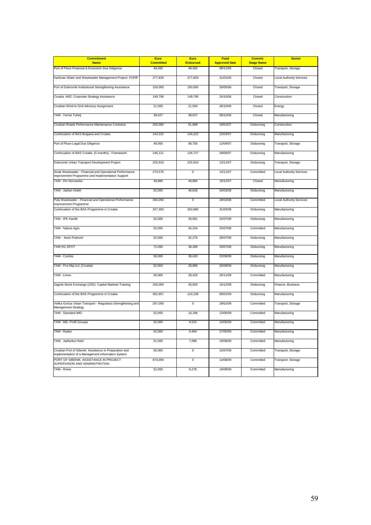| <b>Commitment</b>                                                                                            | <b>Euro</b>      | <b>Euro</b>      | <b>Fund</b>          | Commit.           | <b>Sector</b>                   |
|--------------------------------------------------------------------------------------------------------------|------------------|------------------|----------------------|-------------------|---------------------------------|
| <b>Name</b>                                                                                                  | <b>Committed</b> | <b>Disbursed</b> | <b>Approved date</b> | <b>Stage Name</b> |                                 |
| Port of Ploce Financial & Economic Due Diligence                                                             | 49.450           | 49,450           | 08/11/05             | Closed            | Transport, Storage              |
| Karlovac Water and Wastewater Management Project- FOPIP                                                      | 277,829          | 277,829          | 31/01/06             | Closed            | <b>Local Authority Services</b> |
| Port of Dubrovnik Institutional Strengthening Assistance                                                     | 150,000          | 150,000          | 30/05/06             | Closed            | Transport, Storage              |
| Croatia: ARZ: Corporate Strategy Assistance                                                                  | 149,790          | 149,790          | 24/10/06             | Closed            | Construction                    |
| Croatian Wind to Grid Advisory Assignment                                                                    | 21,500           | 21,500           | 26/10/06             | Closed            | Energy                          |
| TAM - Terme Tuhelj                                                                                           | 39,627           | 39,627           | 08/12/06             | Closed            | Manufacturing                   |
| Croatian Roads Performance Maintenance Contracts                                                             | 250,000          | 51,889           | 19/02/07             | Disbursing        | Construction                    |
| Continuation of BAS Bulgaria and Croatia                                                                     | 144,222          | 144,222          | 22/03/07             | Disbursing        | Manufacturing                   |
| Port of Ploce Legal Due Diligence                                                                            | 49,000           | 48,750           | 12/04/07             | Disbursing        | Transport, Storage              |
| Continuation of BAS Croatia -(5 months) - Framework                                                          | 146,121          | 126,727          | 28/06/07             | Disbursing        | Manufacturing                   |
| Dubrovnik Urban Transport Development Project                                                                | 225,910          | 225,910          | 13/11/07             | Disbursing        | Transport, Storage              |
| Sisak Wastewater - Financial and Operational Performance<br>Improvement Programme and Implementation Support | 273,575          | $\mathbf 0$      | 14/11/07             | Committed         | <b>Local Authority Services</b> |
| TAM - Din Novoselec                                                                                          | 49,880           | 49,880           | 19/12/07             | Closed            | Manufacturing                   |
| TAM - Jadran Hoteli                                                                                          | 52,000           | 46,626           | 26/03/08             | Disbursing        | Manufacturing                   |
| Pula Wastewater - Financial and Operational Performance<br>Improvement Programme                             | 394,050          | $\mathsf 0$      | 28/03/08             | Committed         | <b>Local Authority Services</b> |
| Continuation of the BAS Programme in Croatia                                                                 | 327,450          | 263,680          | 31/03/08             | Disbursing        | Manufacturing                   |
| TAM - IPK Kandit                                                                                             | 52,000           | 29,961           | 25/07/08             | Disbursing        | Manufacturing                   |
| TAM - Natura Agro                                                                                            | 52,000           | 34,254           | 25/07/08             | Committed         | Manufacturing                   |
| TAM - Ilocki Podrumi                                                                                         | 52,000           | 32,276           | 28/07/08             | Disbursing        | Manufacturing                   |
| TAM HG SPOT                                                                                                  | 72,000           | 38,469           | 29/07/08             | Disbursing        | Manufacturing                   |
| TAM - Combis                                                                                                 | 50,000           | 36,433           | 22/09/08             | Disbursing        | Manufacturing                   |
| TAM - Prvi Maj d.d. (Croatia)                                                                                | 52,000           | 28,886           | 26/09/08             | Disbursing        | Manufacturing                   |
| TAM - Limex                                                                                                  | 50,000           | 29,425           | 20/11/08             | Committed         | Manufacturing                   |
| Zagreb Stock Exchange (ZSE): Capital Markets Training                                                        | 245,000          | 30,000           | 10/12/08             | Disbursing        | Finance, Business               |
| Continuation of the BAS Programme in Croatia                                                                 | 352,657          | 124,238          | 09/01/09             | Disbursing        | Manufacturing                   |
| Velika Gorica Urban Transport - Regulatory Strengthening and<br>Management Strategy                          | 267,050          | $\mathsf 0$      | 29/01/09             | Committed         | Transport, Storage              |
| TAM - Standard MIO                                                                                           | 52,000           | 10,196           | 13/05/09             | Committed         | Manufacturing                   |
| TAM - MD- Profil Groupa                                                                                      | 52,000           | 9,525            | 13/05/09             | Committed         | Manufacturing                   |
| TAM - Radez                                                                                                  | 52,000           | 9,484            | 27/05/09             | Committed         | Manufacturing                   |
| TAM - Jadranka Hotel                                                                                         | 51,500           | 7,088            | 19/06/09             | Committed         | Manufacturing                   |
| Croatian Port of Sibenik: Assistance in Preparation and<br>Implementation of a Management Information System | 50,000           | $\overline{0}$   | 15/07/09             | Committed         | Transport, Storage              |
| PORT OF SIBENIK: ASSISTANCE IN PROJECT<br>SUPERVISION AND ADMINISTRATION                                     | 873,000          | $\overline{0}$   | 14/08/09             | Committed         | Transport, Storage              |
| TAM - Rione                                                                                                  | 52,000           | 9,278            | 19/08/09             | Committed         | Manufacturing                   |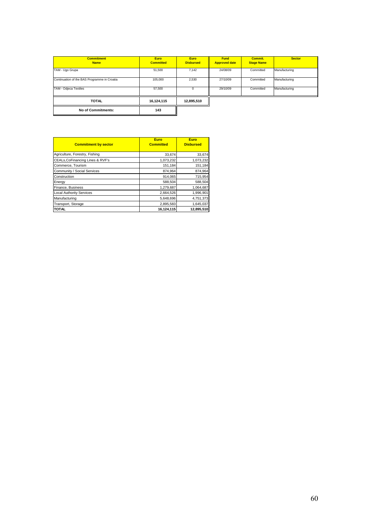| <b>Commitment</b><br><b>Name</b>             | <b>Euro</b><br><b>Committed</b> | <b>Euro</b><br><b>Disbursed</b> | <b>Fund</b><br><b>Approved date</b> | Commit.<br><b>Stage Name</b> | <b>Sector</b> |
|----------------------------------------------|---------------------------------|---------------------------------|-------------------------------------|------------------------------|---------------|
| TAM - Ugo Grupa                              | 51,500                          | 7,142                           | 24/08/09                            | Committed                    | Manufacturing |
| Continuation of the BAS Programme in Croatia | 105,000                         | 2,530                           | 27/10/09                            | Committed                    | Manufacturing |
| TAM - Odjeca Textiles                        | 57.500                          | 0                               | 29/10/09                            | Committed                    | Manufacturing |
| <b>TOTAL</b>                                 | 16,124,115                      | 12,895,510                      |                                     |                              |               |
| No of Commitments:                           | 143                             |                                 |                                     |                              |               |

| <b>Commitment by sector</b>      | <b>Euro</b><br><b>Committed</b> | Euro<br><b>Disbursed</b> |
|----------------------------------|---------------------------------|--------------------------|
| Agriculture, Forestry, Fishing   | 33,674                          | 33,674                   |
| CEALs, CoFinancing Lines & RVF's | 1,073,232                       | 1,073,232                |
| Commerce, Tourism                | 151,184                         | 151,184                  |
| Community / Social Services      | 874,964                         | 874,964                  |
| Construction                     | 914,065                         | 715,954                  |
| Energy                           | 588,504                         | 588,504                  |
| Finance, Business                | 1,279,687                       | 1,064,687                |
| <b>Local Authority Services</b>  | 2,664,526                       | 1,996,901                |
| Manufacturing                    | 5,648,696                       | 4,751,373                |
| Transport, Storage               | 2,895,583                       | 1,645,037                |
| <b>TOTAL</b>                     | 16,124,115                      | 12,895,510               |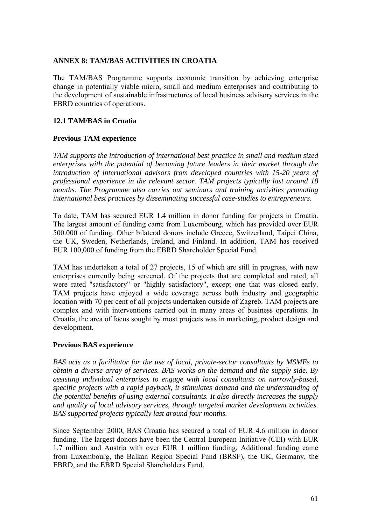### **ANNEX 8: TAM/BAS ACTIVITIES IN CROATIA**

The TAM/BAS Programme supports economic transition by achieving enterprise change in potentially viable micro, small and medium enterprises and contributing to the development of sustainable infrastructures of local business advisory services in the EBRD countries of operations.

# **12.1 TAM/BAS in Croatia**

# **Previous TAM experience**

*TAM supports the introduction of international best practice in small and medium sized enterprises with the potential of becoming future leaders in their market through the introduction of international advisors from developed countries with 15-20 years of professional experience in the relevant sector. TAM projects typically last around 18 months. The Programme also carries out seminars and training activities promoting international best practices by disseminating successful case-studies to entrepreneurs.* 

To date, TAM has secured EUR 1.4 million in donor funding for projects in Croatia. The largest amount of funding came from Luxembourg, which has provided over EUR 500.000 of funding. Other bilateral donors include Greece, Switzerland, Taipei China, the UK, Sweden, Netherlands, Ireland, and Finland. In addition, TAM has received EUR 100,000 of funding from the EBRD Shareholder Special Fund.

TAM has undertaken a total of 27 projects, 15 of which are still in progress, with new enterprises currently being screened. Of the projects that are completed and rated, all were rated "satisfactory" or "highly satisfactory", except one that was closed early. TAM projects have enjoyed a wide coverage across both industry and geographic location with 70 per cent of all projects undertaken outside of Zagreb. TAM projects are complex and with interventions carried out in many areas of business operations. In Croatia, the area of focus sought by most projects was in marketing, product design and development.

### **Previous BAS experience**

*BAS acts as a facilitator for the use of local, private-sector consultants by MSMEs to obtain a diverse array of services. BAS works on the demand and the supply side. By assisting individual enterprises to engage with local consultants on narrowly-based, specific projects with a rapid payback, it stimulates demand and the understanding of the potential benefits of using external consultants. It also directly increases the supply and quality of local advisory services, through targeted market development activities. BAS supported projects typically last around four months.* 

Since September 2000, BAS Croatia has secured a total of EUR 4.6 million in donor funding. The largest donors have been the Central European Initiative (CEI) with EUR 1.7 million and Austria with over EUR 1 million funding. Additional funding came from Luxembourg, the Balkan Region Special Fund (BRSF), the UK, Germany, the EBRD, and the EBRD Special Shareholders Fund,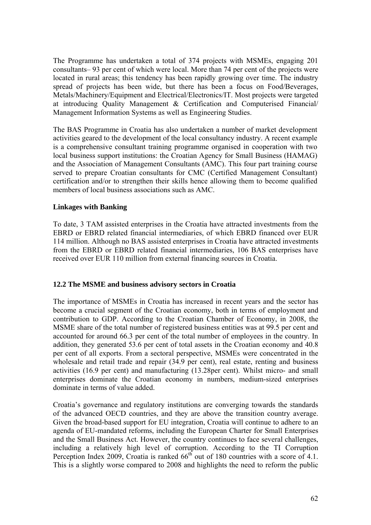The Programme has undertaken a total of 374 projects with MSMEs, engaging 201 consultants– 93 per cent of which were local. More than 74 per cent of the projects were located in rural areas; this tendency has been rapidly growing over time. The industry spread of projects has been wide, but there has been a focus on Food/Beverages, Metals/Machinery/Equipment and Electrical/Electronics/IT. Most projects were targeted at introducing Quality Management & Certification and Computerised Financial/ Management Information Systems as well as Engineering Studies.

The BAS Programme in Croatia has also undertaken a number of market development activities geared to the development of the local consultancy industry. A recent example is a comprehensive consultant training programme organised in cooperation with two local business support institutions: the Croatian Agency for Small Business (HAMAG) and the Association of Management Consultants (AMC). This four part training course served to prepare Croatian consultants for CMC (Certified Management Consultant) certification and/or to strengthen their skills hence allowing them to become qualified members of local business associations such as AMC.

# **Linkages with Banking**

To date, 3 TAM assisted enterprises in the Croatia have attracted investments from the EBRD or EBRD related financial intermediaries, of which EBRD financed over EUR 114 million. Although no BAS assisted enterprises in Croatia have attracted investments from the EBRD or EBRD related financial intermediaries, 106 BAS enterprises have received over EUR 110 million from external financing sources in Croatia.

### **12.2 The MSME and business advisory sectors in Croatia**

The importance of MSMEs in Croatia has increased in recent years and the sector has become a crucial segment of the Croatian economy, both in terms of employment and contribution to GDP. According to the Croatian Chamber of Economy, in 2008, the MSME share of the total number of registered business entities was at 99.5 per cent and accounted for around 66.3 per cent of the total number of employees in the country. In addition, they generated 53.6 per cent of total assets in the Croatian economy and 40.8 per cent of all exports. From a sectoral perspective, MSMEs were concentrated in the wholesale and retail trade and repair (34.9 per cent), real estate, renting and business activities (16.9 per cent) and manufacturing (13.28per cent). Whilst micro- and small enterprises dominate the Croatian economy in numbers, medium-sized enterprises dominate in terms of value added.

Croatia's governance and regulatory institutions are converging towards the standards of the advanced OECD countries, and they are above the transition country average. Given the broad-based support for EU integration, Croatia will continue to adhere to an agenda of EU-mandated reforms, including the European Charter for Small Enterprises and the Small Business Act. However, the country continues to face several challenges, including a relatively high level of corruption. According to the TI Corruption Perception Index 2009, Croatia is ranked  $66<sup>th</sup>$  out of 180 countries with a score of 4.1. This is a slightly worse compared to 2008 and highlights the need to reform the public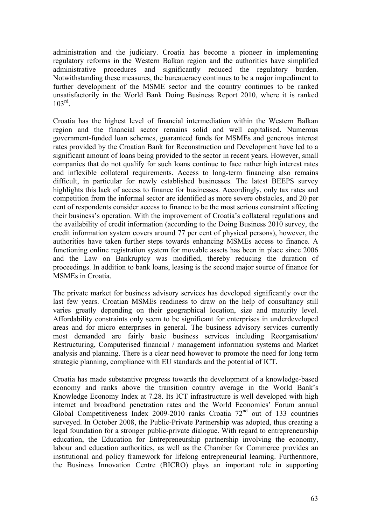administration and the judiciary. Croatia has become a pioneer in implementing regulatory reforms in the Western Balkan region and the authorities have simplified administrative procedures and significantly reduced the regulatory burden. Notwithstanding these measures, the bureaucracy continues to be a major impediment to further development of the MSME sector and the country continues to be ranked unsatisfactorily in the World Bank Doing Business Report 2010, where it is ranked  $103^{\text{rd}}$ 

Croatia has the highest level of financial intermediation within the Western Balkan region and the financial sector remains solid and well capitalised. Numerous government-funded loan schemes, guaranteed funds for MSMEs and generous interest rates provided by the Croatian Bank for Reconstruction and Development have led to a significant amount of loans being provided to the sector in recent years. However, small companies that do not qualify for such loans continue to face rather high interest rates and inflexible collateral requirements. Access to long-term financing also remains difficult, in particular for newly established businesses. The latest BEEPS survey highlights this lack of access to finance for businesses. Accordingly, only tax rates and competition from the informal sector are identified as more severe obstacles, and 20 per cent of respondents consider access to finance to be the most serious constraint affecting their business's operation. With the improvement of Croatia's collateral regulations and the availability of credit information (according to the Doing Business 2010 survey, the credit information system covers around 77 per cent of physical persons), however, the authorities have taken further steps towards enhancing MSMEs access to finance. A functioning online registration system for movable assets has been in place since 2006 and the Law on Bankruptcy was modified, thereby reducing the duration of proceedings. In addition to bank loans, leasing is the second major source of finance for MSMEs in Croatia.

The private market for business advisory services has developed significantly over the last few years. Croatian MSMEs readiness to draw on the help of consultancy still varies greatly depending on their geographical location, size and maturity level. Affordability constraints only seem to be significant for enterprises in underdeveloped areas and for micro enterprises in general. The business advisory services currently most demanded are fairly basic business services including Reorganisation/ Restructuring, Computerised financial / management information systems and Market analysis and planning. There is a clear need however to promote the need for long term strategic planning, compliance with EU standards and the potential of ICT.

Croatia has made substantive progress towards the development of a knowledge-based economy and ranks above the transition country average in the World Bank's Knowledge Economy Index at 7.28. Its ICT infrastructure is well developed with high internet and broadband penetration rates and the World Economics' Forum annual Global Competitiveness Index 2009-2010 ranks Croatia  $72<sup>nd</sup>$  out of 133 countries surveyed. In October 2008, the Public-Private Partnership was adopted, thus creating a legal foundation for a stronger public-private dialogue. With regard to entrepreneurship education, the Education for Entrepreneurship partnership involving the economy, labour and education authorities, as well as the Chamber for Commerce provides an institutional and policy framework for lifelong entrepreneurial learning. Furthermore, the Business Innovation Centre (BICRO) plays an important role in supporting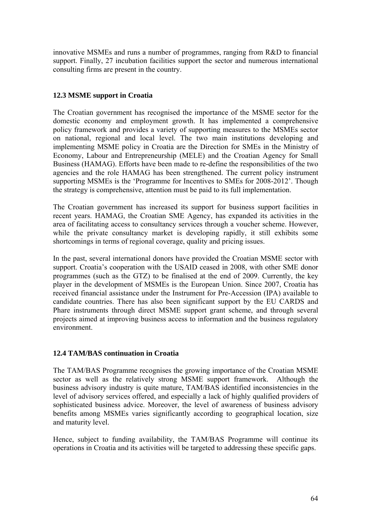innovative MSMEs and runs a number of programmes, ranging from R&D to financial support. Finally, 27 incubation facilities support the sector and numerous international consulting firms are present in the country.

# **12.3 MSME support in Croatia**

The Croatian government has recognised the importance of the MSME sector for the domestic economy and employment growth. It has implemented a comprehensive policy framework and provides a variety of supporting measures to the MSMEs sector on national, regional and local level. The two main institutions developing and implementing MSME policy in Croatia are the Direction for SMEs in the Ministry of Economy, Labour and Entrepreneurship (MELE) and the Croatian Agency for Small Business (HAMAG). Efforts have been made to re-define the responsibilities of the two agencies and the role HAMAG has been strengthened. The current policy instrument supporting MSMEs is the 'Programme for Incentives to SMEs for 2008-2012'. Though the strategy is comprehensive, attention must be paid to its full implementation.

The Croatian government has increased its support for business support facilities in recent years. HAMAG, the Croatian SME Agency, has expanded its activities in the area of facilitating access to consultancy services through a voucher scheme. However, while the private consultancy market is developing rapidly, it still exhibits some shortcomings in terms of regional coverage, quality and pricing issues.

In the past, several international donors have provided the Croatian MSME sector with support. Croatia's cooperation with the USAID ceased in 2008, with other SME donor programmes (such as the GTZ) to be finalised at the end of 2009. Currently, the key player in the development of MSMEs is the European Union. Since 2007, Croatia has received financial assistance under the Instrument for Pre-Accession (IPA) available to candidate countries. There has also been significant support by the EU CARDS and Phare instruments through direct MSME support grant scheme, and through several projects aimed at improving business access to information and the business regulatory environment.

# **12.4 TAM/BAS continuation in Croatia**

The TAM/BAS Programme recognises the growing importance of the Croatian MSME sector as well as the relatively strong MSME support framework. Although the business advisory industry is quite mature, TAM/BAS identified inconsistencies in the level of advisory services offered, and especially a lack of highly qualified providers of sophisticated business advice. Moreover, the level of awareness of business advisory benefits among MSMEs varies significantly according to geographical location, size and maturity level.

Hence, subject to funding availability, the TAM/BAS Programme will continue its operations in Croatia and its activities will be targeted to addressing these specific gaps.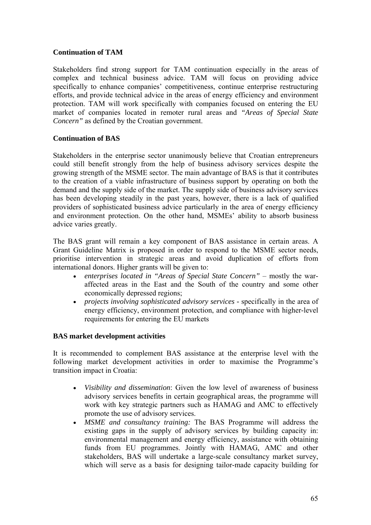### **Continuation of TAM**

Stakeholders find strong support for TAM continuation especially in the areas of complex and technical business advice. TAM will focus on providing advice specifically to enhance companies' competitiveness, continue enterprise restructuring efforts, and provide technical advice in the areas of energy efficiency and environment protection. TAM will work specifically with companies focused on entering the EU market of companies located in remoter rural areas and *"Areas of Special State Concern"* as defined by the Croatian government.

# **Continuation of BAS**

Stakeholders in the enterprise sector unanimously believe that Croatian entrepreneurs could still benefit strongly from the help of business advisory services despite the growing strength of the MSME sector. The main advantage of BAS is that it contributes to the creation of a viable infrastructure of business support by operating on both the demand and the supply side of the market. The supply side of business advisory services has been developing steadily in the past years, however, there is a lack of qualified providers of sophisticated business advice particularly in the area of energy efficiency and environment protection. On the other hand, MSMEs' ability to absorb business advice varies greatly.

The BAS grant will remain a key component of BAS assistance in certain areas. A Grant Guideline Matrix is proposed in order to respond to the MSME sector needs, prioritise intervention in strategic areas and avoid duplication of efforts from international donors. Higher grants will be given to:

- *enterprises located in "Areas of Special State Concern"* mostly the waraffected areas in the East and the South of the country and some other economically depressed regions;
- *projects involving sophisticated advisory services* specifically in the area of energy efficiency, environment protection, and compliance with higher-level requirements for entering the EU markets

# **BAS market development activities**

It is recommended to complement BAS assistance at the enterprise level with the following market development activities in order to maximise the Programme's transition impact in Croatia:

- *Visibility and dissemination*: Given the low level of awareness of business advisory services benefits in certain geographical areas, the programme will work with key strategic partners such as HAMAG and AMC to effectively promote the use of advisory services.
- *MSME and consultancy training:* The BAS Programme will address the existing gaps in the supply of advisory services by building capacity in: environmental management and energy efficiency, assistance with obtaining funds from EU programmes. Jointly with HAMAG, AMC and other stakeholders, BAS will undertake a large-scale consultancy market survey, which will serve as a basis for designing tailor-made capacity building for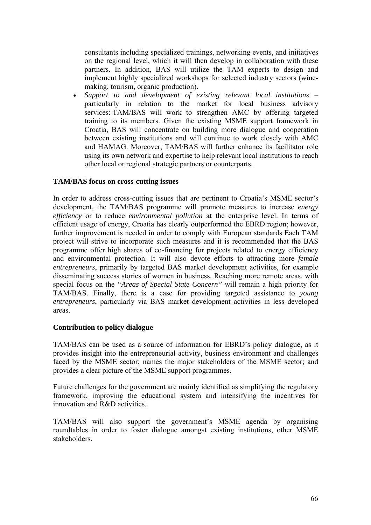consultants including specialized trainings, networking events, and initiatives on the regional level, which it will then develop in collaboration with these partners. In addition, BAS will utilize the TAM experts to design and implement highly specialized workshops for selected industry sectors (winemaking, tourism, organic production).

• *Support to and development of existing relevant local institutions* – particularly in relation to the market for local business advisory services: TAM/BAS will work to strengthen AMC by offering targeted training to its members. Given the existing MSME support framework in Croatia, BAS will concentrate on building more dialogue and cooperation between existing institutions and will continue to work closely with AMC and HAMAG. Moreover, TAM/BAS will further enhance its facilitator role using its own network and expertise to help relevant local institutions to reach other local or regional strategic partners or counterparts.

### **TAM/BAS focus on cross-cutting issues**

In order to address cross-cutting issues that are pertinent to Croatia's MSME sector's development, the TAM/BAS programme will promote measures to increase *energy efficiency* or to reduce *environmental pollution* at the enterprise level. In terms of efficient usage of energy, Croatia has clearly outperformed the EBRD region; however, further improvement is needed in order to comply with European standards Each TAM project will strive to incorporate such measures and it is recommended that the BAS programme offer high shares of co-financing for projects related to energy efficiency and environmental protection. It will also devote efforts to attracting more *female entrepreneurs*, primarily by targeted BAS market development activities, for example disseminating success stories of women in business. Reaching more remote areas, with special focus on the *"Areas of Special State Concern"* will remain a high priority for TAM/BAS. Finally, there is a case for providing targeted assistance to *young entrepreneurs*, particularly via BAS market development activities in less developed areas.

### **Contribution to policy dialogue**

TAM/BAS can be used as a source of information for EBRD's policy dialogue, as it provides insight into the entrepreneurial activity, business environment and challenges faced by the MSME sector; names the major stakeholders of the MSME sector; and provides a clear picture of the MSME support programmes.

Future challenges for the government are mainly identified as simplifying the regulatory framework, improving the educational system and intensifying the incentives for innovation and R&D activities.

TAM/BAS will also support the government's MSME agenda by organising roundtables in order to foster dialogue amongst existing institutions, other MSME stakeholders.